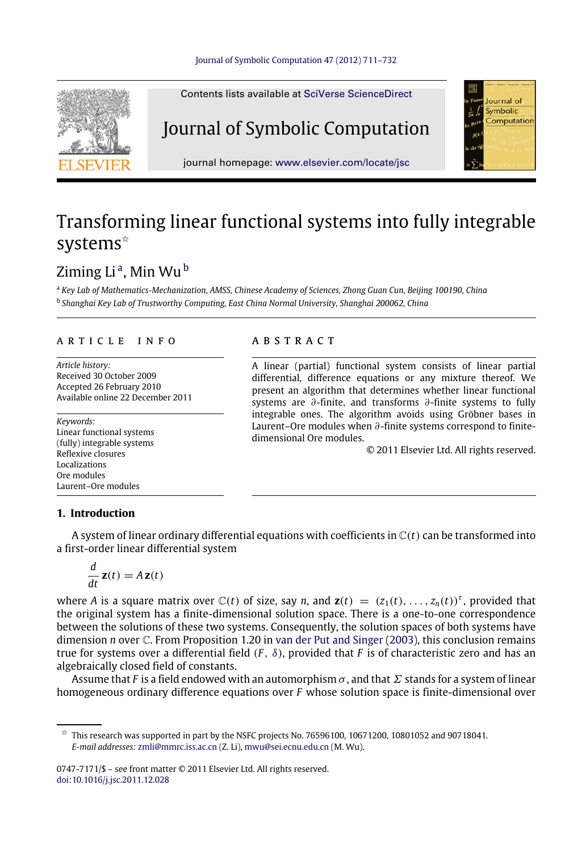<span id="page-0-3"></span>

# Transforming linear functional systems into fully integrable systems<sup>☆</sup>

# Ziming Li<sup>[a](#page-0-1)</sup>, Min Wu<sup>[b](#page-0-2)</sup>

<span id="page-0-2"></span><span id="page-0-1"></span><sup>a</sup> *Key Lab of Mathematics-Mechanization, AMSS, Chinese Academy of Sciences, Zhong Guan Cun, Beijing 100190, China* b *Shanghai Key Lab of Trustworthy Computing, East China Normal University, Shanghai 200062, China*

### a r t i c l e i n f o

*Article history:* Received 30 October 2009 Accepted 26 February 2010 Available online 22 December 2011

*Keywords:* Linear functional systems (fully) integrable systems Reflexive closures **Localizations** Ore modules Laurent–Ore modules

## A B S T R A C T

A linear (partial) functional system consists of linear partial differential, difference equations or any mixture thereof. We present an algorithm that determines whether linear functional systems are ∂-finite, and transforms ∂-finite systems to fully integrable ones. The algorithm avoids using Gröbner bases in Laurent–Ore modules when ∂-finite systems correspond to finitedimensional Ore modules.

© 2011 Elsevier Ltd. All rights reserved.

# **1. Introduction**

A system of linear ordinary differential equations with coefficients in  $\mathbb{C}(t)$  can be transformed into a first-order linear differential system

$$
\frac{d}{dt}\mathbf{z}(t) = A\mathbf{z}(t)
$$

where *A* is a square matrix over  $\mathbb{C}(t)$  of size, say *n*, and  $\mathbf{z}(t) = (z_1(t), \ldots, z_n(t))^{\tau}$ , provided that the original system has a finite-dimensional solution space. There is a one-to-one correspondence between the solutions of these two systems. Consequently, the solution spaces of both systems have dimension *n* over C. From Proposition 1.20 in [van der Put and Singer](#page-21-0) [\(2003\)](#page-21-0), this conclusion remains true for systems over a differential field (*F* , δ), provided that *F* is of characteristic zero and has an algebraically closed field of constants.

Assume that *F* is a field endowed with an automorphism  $\sigma$ , and that  $\Sigma$  stands for a system of linear homogeneous ordinary difference equations over *F* whose solution space is finite-dimensional over

0747-7171/\$ – see front matter © 2011 Elsevier Ltd. All rights reserved. [doi:10.1016/j.jsc.2011.12.028](http://dx.doi.org/10.1016/j.jsc.2011.12.028)

<span id="page-0-0"></span> $\overline{x}$  This research was supported in part by the NSFC projects No. 76596100, 10671200, 10801052 and 90718041. *E-mail addresses:* [zmli@mmrc.iss.ac.cn](mailto:zmli@mmrc.iss.ac.cn) (Z. Li), [mwu@sei.ecnu.edu.cn](mailto:mwu@sei.ecnu.edu.cn) (M. Wu).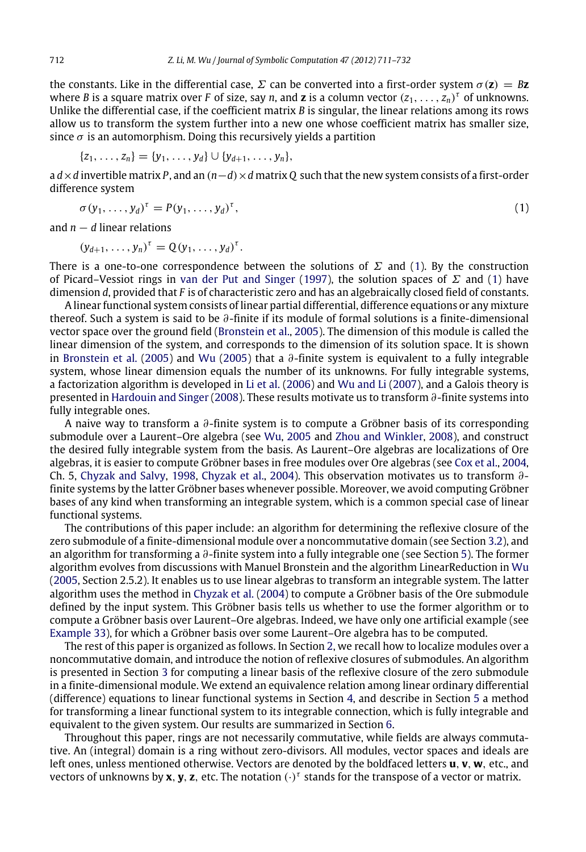the constants. Like in the differential case,  $\Sigma$  can be converted into a first-order system  $\sigma(\mathbf{z}) = B\mathbf{z}$ where *B* is a square matrix over *F* of size, say *n*, and **z** is a column vector  $(z_1, \ldots, z_n)^{\tau}$  of unknowns. Unlike the differential case, if the coefficient matrix *B* is singular, the linear relations among its rows allow us to transform the system further into a new one whose coefficient matrix has smaller size, since  $\sigma$  is an automorphism. Doing this recursively yields a partition

$$
\{z_1, \ldots, z_n\} = \{y_1, \ldots, y_d\} \cup \{y_{d+1}, \ldots, y_n\},\
$$

a *d*×*d* invertible matrix *P*, and an (*n*−*d*)×*d* matrix *Q* such that the new system consists of a first-order difference system

<span id="page-1-0"></span>
$$
\sigma(y_1,\ldots,y_d)^{\tau} = P(y_1,\ldots,y_d)^{\tau},\tag{1}
$$

and *n* − *d* linear relations

$$
(y_{d+1},\ldots,y_n)^{\tau}=Q(y_1,\ldots,y_d)^{\tau}.
$$

There is a one-to-one correspondence between the solutions of  $\Sigma$  and [\(1\)](#page-1-0). By the construction of Picard–Vessiot rings in [van der Put and Singer](#page-21-1) [\(1997\)](#page-21-1), the solution spaces of  $\Sigma$  and [\(1\)](#page-1-0) have dimension *d*, provided that *F* is of characteristic zero and has an algebraically closed field of constants.

A linear functional system consists of linear partial differential, difference equations or any mixture thereof. Such a system is said to be ∂-finite if its module of formal solutions is a finite-dimensional vector space over the ground field [\(Bronstein et al.,](#page-21-2) [2005\)](#page-21-2). The dimension of this module is called the linear dimension of the system, and corresponds to the dimension of its solution space. It is shown in [Bronstein et al.](#page-21-2) [\(2005\)](#page-21-2) and [Wu](#page-21-3) [\(2005\)](#page-21-3) that a ∂-finite system is equivalent to a fully integrable system, whose linear dimension equals the number of its unknowns. For fully integrable systems, a factorization algorithm is developed in [Li et al.](#page-21-4) [\(2006\)](#page-21-4) and [Wu and Li](#page-21-5) [\(2007\)](#page-21-5), and a Galois theory is presented in [Hardouin and Singer](#page-21-6) [\(2008\)](#page-21-6). These results motivate us to transform  $\partial$ -finite systems into fully integrable ones.

A naive way to transform a ∂-finite system is to compute a Gröbner basis of its corresponding submodule over a Laurent–Ore algebra (see [Wu,](#page-21-3) [2005](#page-21-3) and [Zhou and Winkler,](#page-21-7) [2008\)](#page-21-7), and construct the desired fully integrable system from the basis. As Laurent–Ore algebras are localizations of Ore algebras, it is easier to compute Gröbner bases in free modules over Ore algebras (see [Cox et al.,](#page-21-8) [2004,](#page-21-8) Ch. 5, [Chyzak and Salvy,](#page-21-9) [1998,](#page-21-9) [Chyzak et al.,](#page-21-10) [2004\)](#page-21-10). This observation motivates us to transform ∂ finite systems by the latter Gröbner bases whenever possible. Moreover, we avoid computing Gröbner bases of any kind when transforming an integrable system, which is a common special case of linear functional systems.

The contributions of this paper include: an algorithm for determining the reflexive closure of the zero submodule of a finite-dimensional module over a noncommutative domain (see Section [3.2\)](#page-5-0), and an algorithm for transforming a ∂-finite system into a fully integrable one (see Section [5\)](#page-13-0). The former algorithm evolves from discussions with Manuel Bronstein and the algorithm LinearReduction in [Wu](#page-21-3) [\(2005,](#page-21-3) Section 2.5.2). It enables us to use linear algebras to transform an integrable system. The latter algorithm uses the method in [Chyzak et al.](#page-21-10) [\(2004\)](#page-21-10) to compute a Gröbner basis of the Ore submodule defined by the input system. This Gröbner basis tells us whether to use the former algorithm or to compute a Gröbner basis over Laurent–Ore algebras. Indeed, we have only one artificial example (see [Example](#page-19-0) [33\)](#page-19-0), for which a Gröbner basis over some Laurent–Ore algebra has to be computed.

The rest of this paper is organized as follows. In Section [2,](#page-2-0) we recall how to localize modules over a noncommutative domain, and introduce the notion of reflexive closures of submodules. An algorithm is presented in Section [3](#page-3-0) for computing a linear basis of the reflexive closure of the zero submodule in a finite-dimensional module. We extend an equivalence relation among linear ordinary differential (difference) equations to linear functional systems in Section [4,](#page-9-0) and describe in Section [5](#page-13-0) a method for transforming a linear functional system to its integrable connection, which is fully integrable and equivalent to the given system. Our results are summarized in Section [6.](#page-19-1)

Throughout this paper, rings are not necessarily commutative, while fields are always commutative. An (integral) domain is a ring without zero-divisors. All modules, vector spaces and ideals are left ones, unless mentioned otherwise. Vectors are denoted by the boldfaced letters **u**, **v**, **w**, etc., and vectors of unknowns by **x**, **y**, **z**, etc. The notation (·) τ stands for the transpose of a vector or matrix.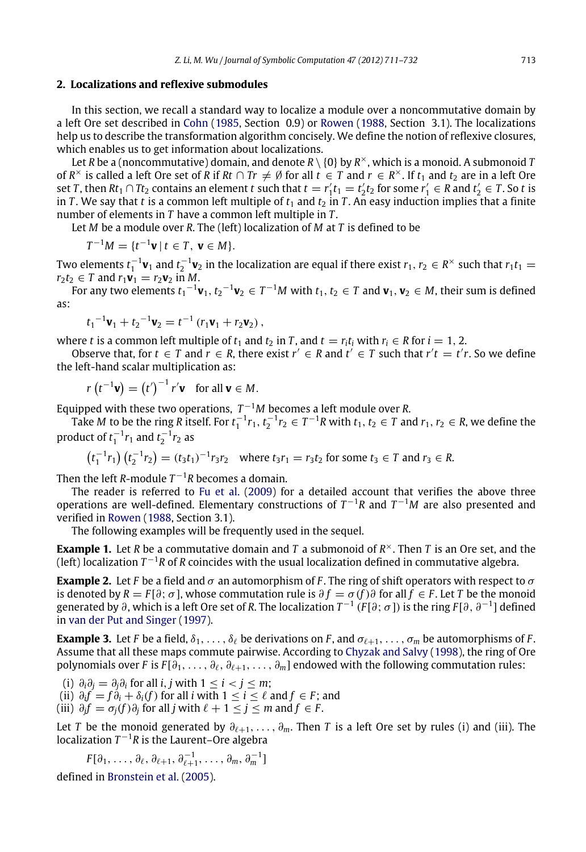### <span id="page-2-0"></span>**2. Localizations and reflexive submodules**

In this section, we recall a standard way to localize a module over a noncommutative domain by a left Ore set described in [Cohn](#page-21-11) [\(1985,](#page-21-11) Section 0.9) or [Rowen](#page-21-12) [\(1988,](#page-21-12) Section 3.1). The localizations help us to describe the transformation algorithm concisely. We define the notion of reflexive closures, which enables us to get information about localizations.

Let *R* be a (noncommutative) domain, and denote *R* \ {0} by *R* <sup>×</sup>, which is a monoid. A submonoid *T* of  $R^{\times}$  is called a left Ore set of  $R$  if  $Rt \cap Tr ≠ ∅$  for all  $t ∈ T$  and  $r ∈ R^{\times}$ . If  $t_1$  and  $t_2$  are in a left Ore set *T*, then  $Rt_1 \cap Tt_2$  contains an element *t* such that  $t = r'_1 t_1 = t'_2 t_2$  for some  $r'_1 \in R$  and  $t'_2 \in T$ . So *t* is in *T*. We say that *t* is a common left multiple of  $t_1$  and  $t_2$  in *T*. An easy induction implies that a finite number of elements in *T* have a common left multiple in *T* .

Let *M* be a module over *R*. The (left) localization of *M* at *T* is defined to be

$$
T^{-1}M = \{t^{-1}v \mid t \in T, \ v \in M\}.
$$

Two elements  $t_1^{-1}$ **v**<sub>1</sub> and  $t_2^{-1}$ **v**<sub>2</sub> in the localization are equal if there exist  $r_1, r_2 \in R^\times$  such that  $r_1t_1 =$  $r_2 t_2 \in T$  and  $r_1 \mathbf{v}_1 = r_2 \mathbf{v}_2$  in *M*.

For any two elements  $t_1^{-1}\mathbf{v}_1$ ,  $t_2^{-1}\mathbf{v}_2\in T^{-1}M$  with  $t_1,t_2\in T$  and  $\mathbf{v}_1,\mathbf{v}_2\in M$ , their sum is defined as:

$$
t_1^{-1}\mathbf{v}_1 + t_2^{-1}\mathbf{v}_2 = t^{-1}(r_1\mathbf{v}_1 + r_2\mathbf{v}_2),
$$

where *t* is a common left multiple of  $t_1$  and  $t_2$  in *T*, and  $t = r_i t_i$  with  $r_i \in R$  for  $i = 1, 2$ .

Observe that, for  $t \in T$  and  $r \in R$ , there exist  $r' \in R$  and  $t' \in T$  such that  $r't = t'r$ . So we define the left-hand scalar multiplication as:

$$
r(t^{-1}\mathbf{v}) = (t')^{-1} r'\mathbf{v} \text{ for all } \mathbf{v} \in M.
$$

Equipped with these two operations,  $T^{-1}M$  becomes a left module over *R*.

Take *M* to be the ring *R* itself. For  $t_1^{-1}r_1$ ,  $t_2^{-1}r_2 \in T^{-1}R$  with  $t_1, t_2 \in T$  and  $r_1, r_2 \in R$ , we define the product of  $t_1^{-1}r_1$  and  $t_2^{-1}r_2$  as

$$
\left(t_1^{-1}r_1\right)\left(t_2^{-1}r_2\right) = \left(t_3t_1\right)^{-1}r_3r_2 \quad \text{where } t_3r_1 = r_3t_2 \text{ for some } t_3 \in T \text{ and } r_3 \in R.
$$

Then the left *R*-module  $T^{-1}R$  becomes a domain.

The reader is referred to [Fu et al.](#page-21-13) [\(2009\)](#page-21-13) for a detailed account that verifies the above three operations are well-defined. Elementary constructions of *T* <sup>−</sup><sup>1</sup>*R* and *T* <sup>−</sup><sup>1</sup>*M* are also presented and verified in [Rowen](#page-21-12) [\(1988,](#page-21-12) Section 3.1).

The following examples will be frequently used in the sequel.

**Example 1.** Let *R* be a commutative domain and *T* a submonoid of *R* <sup>×</sup>. Then *T* is an Ore set, and the (left) localization *T* <sup>−</sup><sup>1</sup>*R* of *R* coincides with the usual localization defined in commutative algebra.

<span id="page-2-1"></span>**Example 2.** Let *F* be a field and  $\sigma$  an automorphism of *F*. The ring of shift operators with respect to  $\sigma$ is denoted by  $R = F[\partial; \sigma]$ , whose commutation rule is  $\partial f = \sigma(f)\partial$  for all  $f \in F$ . Let *T* be the monoid generated by ∂, which is a left Ore set of *R*. The localization *T* −1 (*F* [∂; σ]) is the ring *F* [∂, ∂<sup>−</sup><sup>1</sup> ] defined in [van der Put and Singer](#page-21-1) [\(1997\)](#page-21-1).

<span id="page-2-2"></span>**Example 3.** Let *F* be a field,  $\delta_1, \ldots, \delta_\ell$  be derivations on *F*, and  $\sigma_{\ell+1}, \ldots, \sigma_m$  be automorphisms of *F*. Assume that all these maps commute pairwise. According to [Chyzak and Salvy](#page-21-9) [\(1998\)](#page-21-9), the ring of Ore polynomials over *F* is  $F[\partial_1, \ldots, \partial_\ell, \partial_{\ell+1}, \ldots, \partial_m]$  endowed with the following commutation rules:

 $(i)$   $\partial_i \partial_j = \partial_j \partial_i$  for all *i*, *j* with 1 ≤ *i* < *j* ≤ *m*;

 $f(i)$   $\partial_i f = f\dot{\partial}_i + \delta_i(f)$  for all *i* with 1 ≤ *i* ≤  $\ell$  and  $f \in F$ ; and

 $(iii)$   $\partial_j f = \sigma_j(f) \partial_j$  for all *j* with  $\ell + 1 \le j \le m$  and  $f \in F$ .

Let *T* be the monoid generated by  $\partial_{\ell+1}, \ldots, \partial_m$ . Then *T* is a left Ore set by rules (i) and (iii). The localization  $T^{-1}R$  is the Laurent–Ore algebra

$$
F[\partial_1,\ldots,\partial_\ell,\partial_{\ell+1},\partial_{\ell+1}^{-1},\ldots,\partial_m,\partial_m^{-1}]
$$

defined in [Bronstein et al.](#page-21-2) [\(2005\)](#page-21-2).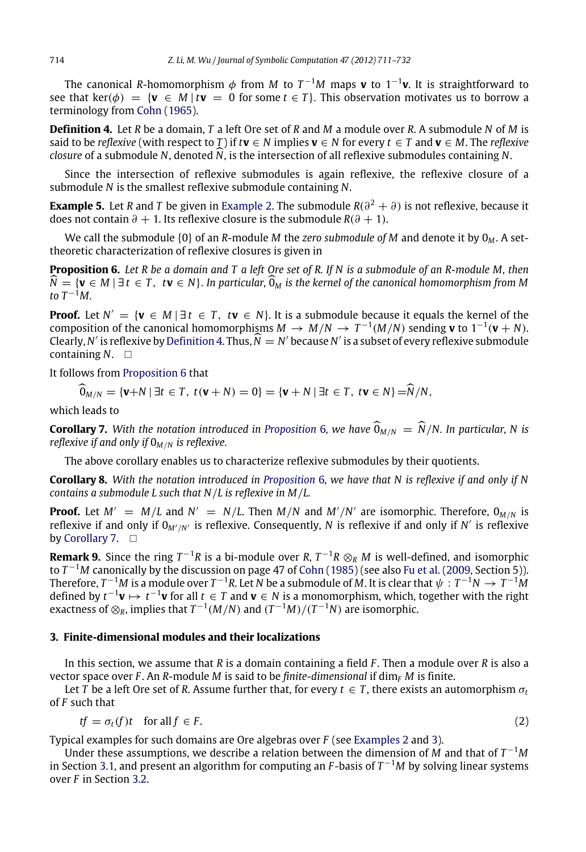The canonical *R*-homomorphism φ from *M* to *T* <sup>−</sup><sup>1</sup>*M* maps **v** to 1−<sup>1</sup> **v**. It is straightforward to see that ker( $\phi$ ) = {**v**  $\in$  *M* | *t***v** = 0 for some *t*  $\in$  *T*}. This observation motivates us to borrow a terminology from [Cohn](#page-21-14) [\(1965\)](#page-21-14).

<span id="page-3-1"></span>**Definition 4.** Let *R* be a domain, *T* a left Ore set of *R* and *M* a module over *R*. A submodule *N* of *M* is said to be *reflexive* (with respect to *T*) if  $t\mathbf{v} \in N$  implies  $\mathbf{v} \in N$  for every  $t \in T$  and  $\mathbf{v} \in M$ . The *reflexive closure* of a submodule *<sup>N</sup>*, denoted *N*, is the intersection of all reflexive submodules containing *<sup>N</sup>*.

Since the intersection of reflexive submodules is again reflexive, the reflexive closure of a submodule *N* is the smallest reflexive submodule containing *N*.

**[Example](#page-2-1) 5.** Let *R* and *T* be given in Example [2.](#page-2-1) The submodule  $R(\partial^2 + \partial)$  is not reflexive, because it does not contain  $\partial + 1$ . Its reflexive closure is the submodule  $R(\partial + 1)$ .

We call the submodule {0} of an *R*-module *M* the *zero submodule of M* and denote it by 0*<sup>M</sup>* . A settheoretic characterization of reflexive closures is given in

<span id="page-3-2"></span>**Proposition 6.** *Let R be a domain and T a left Ore set of R. If N is a submodule of an R-module M, then <sup>N</sup>* = {**<sup>v</sup>** <sup>∈</sup> *<sup>M</sup>* | ∃ *<sup>t</sup>* <sup>∈</sup> *<sup>T</sup>* , *<sup>t</sup>***<sup>v</sup>** <sup>∈</sup> *<sup>N</sup>*}. *In particular,*0*<sup>M</sup> is the kernel of the canonical homomorphism from M to*  $T^{-1}M$ .

**Proof.** Let  $N' = \{v \in M \mid \exists t \in T, tv \in N\}$ . It is a submodule because it equals the kernel of the composition of the canonical homomorphisms  $M \to M/N \to T^{-1}(M/N)$  sending **v** to  $1^{-1}(\mathbf{v} + N)$ . Clearly, *N'* is reflexive by [Definition](#page-3-1) [4.](#page-3-1) Thus,  $\widehat{N} = N'$  because *N'* is a subset of every reflexive submodule containing *N*.

It follows from [Proposition](#page-3-2) [6](#page-3-2) that

 $\widehat{\mathbf{0}}_{M/N} = {\mathbf{v} + N | \exists t \in T, t(\mathbf{v} + N) = 0} = {\mathbf{v} + N | \exists t \in T, t\mathbf{v} \in N} = \widehat{N}/N,$ 

which leads to

<span id="page-3-3"></span>**Corollary 7.** With the notation introduced in [Proposition](#page-3-2) [6](#page-3-2), we have  $\widehat{O}_{M/N} = \widehat{N}/N$ . In particular, N is *reflexive if and only if* 0*M*/*<sup>N</sup> is reflexive.*

The above corollary enables us to characterize reflexive submodules by their quotients.

<span id="page-3-6"></span>**Corollary 8.** *With the notation introduced in [Proposition](#page-3-2)* [6](#page-3-2)*, we have that N is reflexive if and only if N contains a submodule L such that N*/*L is reflexive in M*/*L.*

**Proof.** Let  $M' = M/L$  and  $N' = N/L$ . Then  $M/N$  and  $M'/N'$  are isomorphic. Therefore,  $0_{M/N}$  is reflexive if and only if 0*M*′/*N*′ is reflexive. Consequently, *N* is reflexive if and only if *N* ′ is reflexive by [Corollary](#page-3-3) [7.](#page-3-3)  $\Box$ 

<span id="page-3-5"></span>**Remark 9.** Since the ring *T* <sup>−</sup><sup>1</sup>*R* is a bi-module over *R*, *T* <sup>−</sup><sup>1</sup>*<sup>R</sup>* ⊗*<sup>R</sup> <sup>M</sup>* is well-defined, and isomorphic to *T* <sup>−</sup><sup>1</sup>*M* canonically by the discussion on page 47 of [Cohn](#page-21-11) [\(1985\)](#page-21-11) (see also [Fu et al.](#page-21-13) [\(2009,](#page-21-13) Section 5)). Therefore,  $T^{-1}M$  is a module over  $T^{-1}R$ . Let  $N$  be a submodule of  $M$ . It is clear that  $\psi:T^{-1}N\to T^{-1}M$ defined by  $t^{-1}$ **v**  $\mapsto t^{-1}$ **v** for all  $t \in T$  and **v** ∈ *N* is a monomorphism, which, together with the right exactness of  $\otimes_{R}$ , implies that  $T^{-1}(M/N)$  and  $(T^{-1}M)/(T^{-1}N)$  are isomorphic.

### <span id="page-3-0"></span>**3. Finite-dimensional modules and their localizations**

In this section, we assume that *R* is a domain containing a field *F* . Then a module over *R* is also a vector space over *F*. An *R*-module *M* is said to be *finite-dimensional* if  $\dim_F M$  is finite.

Let *T* be a left Ore set of *R*. Assume further that, for every  $t \in T$ , there exists an automorphism  $\sigma_t$ of *F* such that

<span id="page-3-4"></span>
$$
tf = \sigma_t(f)t \quad \text{for all } f \in F. \tag{2}
$$

Typical examples for such domains are Ore algebras over *F* (see [Examples](#page-2-1) [2](#page-2-1) and [3\)](#page-2-2).

Under these assumptions, we describe a relation between the dimension of *M* and that of *T* <sup>−</sup><sup>1</sup>*M* in Section [3.1,](#page-4-0) and present an algorithm for computing an *F* -basis of *T* <sup>−</sup><sup>1</sup>*M* by solving linear systems over *F* in Section [3.2.](#page-5-0)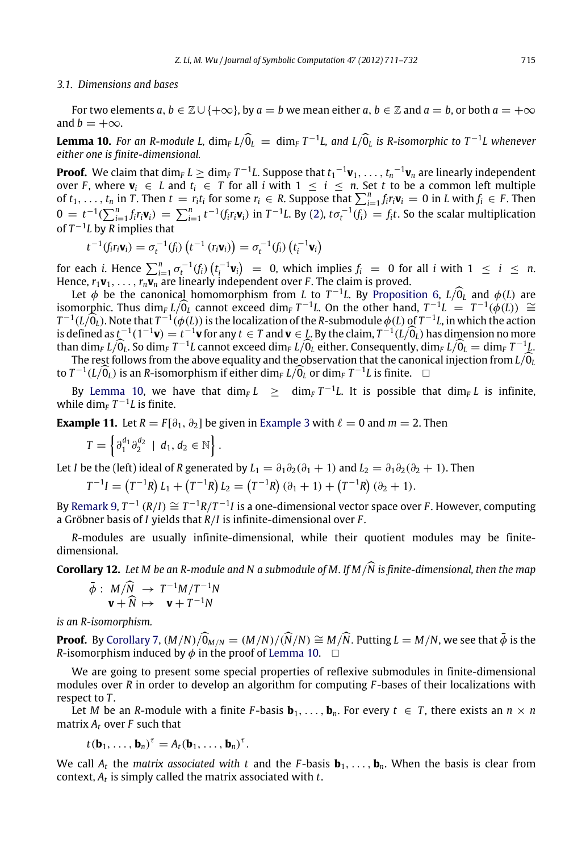#### <span id="page-4-0"></span>*3.1. Dimensions and bases*

For two elements  $a, b \in \mathbb{Z} \cup \{+\infty\}$ , by  $a = b$  we mean either  $a, b \in \mathbb{Z}$  and  $a = b$ , or both  $a = +\infty$ and *b* =  $+\infty$ .

<span id="page-4-1"></span>**Lemma 10.** For an R-module L,  $\dim_F L/\widehat{0}_L = \dim_F T^{-1}L$ , and  $L/\widehat{0}_L$  is R-isomorphic to  $T^{-1}L$  whenever *either one is finite-dimensional.*

**Proof.** We claim that  $\dim_{F}L\geq\dim_{F}T^{-1}L$ . Suppose that  $t_1{}^{-1}\mathbf{v}_1,\ldots,t_n{}^{-1}\mathbf{v}_n$  are linearly independent over *F*, where  $\mathbf{v}_i \in L$  and  $t_i \in T$  for all *i* with  $1 \leq i \leq n$ . Set *t* to be a common left multiple of  $t_1, \ldots, t_n$  in T. Then  $t = r_i t_i$  for some  $r_i \in R$ . Suppose that  $\sum_{i=1}^n f_i r_i v_i = 0$  in L with  $f_i \in F$ . Then  $0 = t^{-1}(\sum_{i=1}^n f_i r_i \mathbf{v}_i) = \sum_{i=1}^n t^{-1}(f_i r_i \mathbf{v}_i)$  in  $T^{-1}L$ . By [\(2\)](#page-3-4),  $t \sigma_t^{-1}(f_i) = f_i t$ . So the scalar multiplication of  $T^{-1}L$  by *R* implies that

$$
t^{-1}(f_i r_i \mathbf{v}_i) = \sigma_t^{-1}(f_i) \left( t^{-1} \left( r_i \mathbf{v}_i \right) \right) = \sigma_t^{-1}(f_i) \left( t_i^{-1} \mathbf{v}_i \right)
$$

for each *i*. Hence  $\sum_{i=1}^{n} \sigma_t^{-1}(f_i) (t_i^{-1} \mathbf{v}_i) = 0$ , which implies  $f_i = 0$  for all *i* with  $1 \le i \le n$ . Hence,  $r_1$ **v**<sub>1</sub>, ...,  $r_n$ **v**<sub>*n*</sub> are linearly independent over *F*. The claim is proved.

Let  $\phi$  be the canonical homomorphism from *L* to  $T^{-1}L$ . By [Proposition](#page-3-2) [6,](#page-3-2)  $L/\hat{0}_L$  and  $\phi(L)$  are isomorphic. Thus dim<sub>*F*</sub> *L*/0<sub>*L*</sub> cannot exceed dim<sub>*F*</sub> *T*<sup>−1</sup>*L*. On the other hand,  $T^{-1}L = T^{-1}(\phi(L)) \cong T^{-1}L(\phi(L))$  ∼  $T^{-1}(L/\hat{0}_L)$ . Note that  $T^{-1}(\phi(L))$  is the localization of the *R*-submodule  $\phi(L)$  of  $T^{-1}L$ , in which the action<br>is defined as  $t^{-1}(1^{-1}w) - t^{-1}w$  for any  $t \in T$  and  $y \in L$ . By the claim  $T^{-1}(L/\hat{0})$  has dimension no m is defined as  $t^{-1}(1^{-1}\mathbf{v}) = t^{-1}\mathbf{v}$  for any  $t \in T$  and  $\mathbf{v} \in L$ . By the claim,  $T^{-1}(L/\widehat{0}_L)$  has dimension no more than  $\dim_F L/\widehat{0}_L$ . So  $\dim_F T^{-1}L$  cannot exceed  $\dim_F L/\widehat{0}_L$  either. Consequently,  $\dim_F L/\widehat{0}_L = \dim_F T^{-1}L$ .<br>The rest follows from the above equality and the observation that the exponical injection from  $L/\widehat{0}$ . The rest follows from the above equality and the observation that the canonical injection from  $L/O<sub>L</sub>$ 

to  $T^{-1}(L/\widehat{0}_L)$  is an *R*-isomorphism if either dim<sub>*F*</sub>  $L/\widehat{0}_L$  or dim<sub>*F*</sub>  $T^{-1}L$  is finite. □

By [Lemma](#page-4-1) [10,](#page-4-1) we have that  $\dim_F L \geq \dim_F T^{-1}L$ . It is possible that  $\dim_F L$  is infinite, while  $\dim_F T^{-1}L$  is finite.

**[Example](#page-2-2) 11.** Let  $R = F[\partial_1, \partial_2]$  be given in Example [3](#page-2-2) with  $\ell = 0$  and  $m = 2$ . Then

$$
T=\left\{\partial_1^{d_1}\partial_2^{d_2}\ \mid\ d_1,d_2\in\mathbb{N}\right\}.
$$

Let *I* be the (left) ideal of *R* generated by  $L_1 = \partial_1 \partial_2 (\partial_1 + 1)$  and  $L_2 = \partial_1 \partial_2 (\partial_2 + 1)$ . Then

$$
T^{-1}I = (T^{-1}R) L_1 + (T^{-1}R) L_2 = (T^{-1}R) (\partial_1 + 1) + (T^{-1}R) (\partial_2 + 1).
$$

By [Remark](#page-3-5) [9,](#page-3-5)  $T^{-1}(R/I) \cong T^{-1}R/T^{-1}I$  is a one-dimensional vector space over *F*. However, computing a Gröbner basis of *I* yields that *R*/*I* is infinite-dimensional over *F* .

*R*-modules are usually infinite-dimensional, while their quotient modules may be finitedimensional.

**Corollary 12.** *Let M be an R-module and N a submodule of M. If M*/*N is finite-dimensional, then the map*

<span id="page-4-3"></span>
$$
\bar{\phi}: M/\widehat{N} \rightarrow T^{-1}M/T^{-1}N
$$
  

$$
\mathbf{v} + \widehat{N} \mapsto \mathbf{v} + T^{-1}N
$$

*is an R-isomorphism.*

**Proof.** By [Corollary](#page-3-3) [7,](#page-3-3)  $(M/N)/\widehat{0}_{M/N} = (M/N)/(\widehat{N}/N) \cong M/\widehat{N}$ . Putting  $L = M/N$ , we see that  $\bar{\phi}$  is the *R*-isomorphism induced by  $\phi$  in the proof of [Lemma](#page-4-1) [10.](#page-4-1)  $\Box$ 

We are going to present some special properties of reflexive submodules in finite-dimensional modules over *R* in order to develop an algorithm for computing *F* -bases of their localizations with respect to *T* .

Let *M* be an *R*-module with a finite *F*-basis **. For every**  $t \in T$ **, there exists an**  $n \times n$ matrix  $A_t$  over  $F$  such that

$$
t(\mathbf{b}_1,\ldots,\mathbf{b}_n)^{\tau}=A_t(\mathbf{b}_1,\ldots,\mathbf{b}_n)^{\tau}.
$$

<span id="page-4-2"></span>We call  $A_t$  the *matrix associated with* t and the *F*-basis  $\mathbf{b}_1, \ldots, \mathbf{b}_n$ . When the basis is clear from context,  $A_t$  is simply called the matrix associated with  $t$ .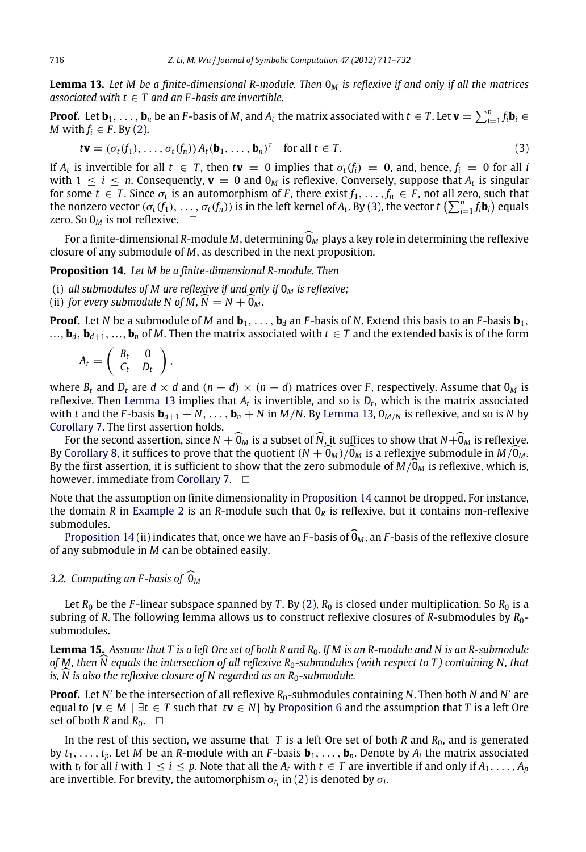**Lemma 13.** *Let M be a finite-dimensional R-module. Then* 0*<sup>M</sup> is reflexive if and only if all the matrices associated with*  $t \in T$  *and an F-basis are invertible.* 

**Proof.** Let  $\mathbf{b}_1,\ldots,\mathbf{b}_n$  be an F-basis of M, and  $A_t$  the matrix associated with  $t\in T$ . Let  $\mathbf{v}=\sum_{i=1}^nf_i\mathbf{b}_i\in T$ *M* with  $f_i \in F$ . By [\(2\)](#page-3-4),

<span id="page-5-2"></span><span id="page-5-1"></span>
$$
t\mathbf{v} = (\sigma_t(f_1), \dots, \sigma_t(f_n)) A_t(\mathbf{b}_1, \dots, \mathbf{b}_n)^{\tau} \quad \text{for all } t \in T.
$$
 (3)

If  $A_t$  is invertible for all  $t \in T$ , then  $t$ **v** = 0 implies that  $\sigma_t(f_i) = 0$ , and, hence,  $f_i = 0$  for all *i* with  $1 \leq i \leq n$ . Consequently,  $\mathbf{v} = 0$  and  $0_M$  is reflexive. Conversely, suppose that  $A_t$  is singular for some  $t \in T$ . Since  $\sigma_t$  is an automorphism of *F*, there exist  $f_1, \ldots, f_n \in F$ , not all zero, such that the nonzero vector  $(\sigma_t(f_1),\ldots,\sigma_t(f_n))$  is in the left kernel of  $A_t$ . By [\(3\)](#page-5-1), the vector  $t$   $\left(\sum_{i=1}^n f_i\mathbf{b}_i\right)$  equals zero. So  $0_M$  is not reflexive.  $\square$ 

For a finite-dimensional *R*-module *M*, determining  $\widehat{O}_M$  plays a key role in determining the reflexive closure of any submodule of *M*, as described in the next proposition.

**Proposition 14.** *Let M be a finite-dimensional R-module. Then*

- (i) *all submodules of M are reflexive if and only if* 0*<sup>M</sup> is reflexive;*
- (ii) *for every submodule N of M, N* =  $N + 0<sub>M</sub>$ *.*

**Proof.** Let *N* be a submodule of *M* and  $\mathbf{b}_1, \ldots, \mathbf{b}_d$  an *F*-basis of *N*. Extend this basis to an *F*-basis  $\mathbf{b}_1$ , ...,  $\mathbf{b}_d$ ,  $\mathbf{b}_{d+1}$ , ...,  $\mathbf{b}_n$  of *M*. Then the matrix associated with  $t \in T$  and the extended basis is of the form

$$
A_t = \left( \begin{array}{cc} B_t & 0 \\ C_t & D_t \end{array} \right),
$$

where  $B_t$  and  $D_t$  are  $d \times d$  and  $(n - d) \times (n - d)$  matrices over *F*, respectively. Assume that  $0_M$  is reflexive. Then [Lemma](#page-4-2) [13](#page-4-2) implies that  $A_t$  is invertible, and so is  $D_t$ , which is the matrix associated with *t* and the *F*-basis  $\mathbf{b}_{d+1} + N$ , ...,  $\mathbf{b}_n + N$  in *M*/*N*. By [Lemma](#page-4-2) [13,](#page-4-2)  $0_{M/N}$  is reflexive, and so is *N* by [Corollary](#page-3-3) [7.](#page-3-3) The first assertion holds.

For the second assertion, since  $N + \widehat{0}_M$  is a subset of  $\widehat{N}$ , it suffices to show that  $N + \widehat{0}_M$  is reflexive. By [Corollary](#page-3-6) [8,](#page-3-6) it suffices to prove that the quotient  $(N + 0<sub>M</sub>)/0<sub>M</sub>$  is a reflexive submodule in  $M/0<sub>M</sub>$ . By the first assertion, it is sufficient to show that the zero submodule of  $M/\Omega_M$  is reflexive, which is, however, immediate from [Corollary](#page-3-3) [7.](#page-3-3) □

Note that the assumption on finite dimensionality in [Proposition](#page-5-2) [14](#page-5-2) cannot be dropped. For instance, the domain *R* in [Example](#page-2-1) [2](#page-2-1) is an *R*-module such that  $0_R$  is reflexive, but it contains non-reflexive submodules.

[Proposition](#page-5-2) [14](#page-5-2) (ii) indicates that, once we have an *F*-basis of  $\widehat{\mathbb{O}}_M$ , an *F*-basis of the reflexive closure of any submodule in *M* can be obtained easily.

## <span id="page-5-0"></span>*3.2.* Computing an F-basis of  $\widehat{\mathbb{O}}_M$

Let  $R_0$  be the *F*-linear subspace spanned by *T*. By [\(2\)](#page-3-4),  $R_0$  is closed under multiplication. So  $R_0$  is a subring of *R*. The following lemma allows us to construct reflexive closures of *R*-submodules by *R*0 submodules.

<span id="page-5-3"></span>**Lemma 15.** *Assume that T is a left Ore set of both R and R*0*. If M is an R-module and N is an R-submodule of M, then N equals the intersection of all reflexive R*0*-submodules (with respect to T ) containing N, that is,*  $\dot{N}$  *is also the reflexive closure of*  $N$  *regarded as an R<sub>0</sub>-submodule.* 

**Proof.** Let *N'* be the intersection of all reflexive R<sub>0</sub>-submodules containing *N*. Then both *N* and *N'* are equal to {**} by [Proposition](#page-3-2) [6](#page-3-2) and the assumption that** *T* **is a left Ore** set of both *R* and  $R_0$ .  $\Box$ 

In the rest of this section, we assume that *T* is a left Ore set of both *R* and  $R_0$ , and is generated by  $t_1, \ldots, t_p$ . Let *M* be an *R*-module with an *F*-basis  $\mathbf{b}_1, \ldots, \mathbf{b}_n$ . Denote by  $A_i$  the matrix associated with  $t_i$  for all *i* with 1  $\leq i \leq p$ . Note that all the  $A_t$  with  $t \in T$  are invertible if and only if  $A_1, \ldots, A_p$ are invertible. For brevity, the automorphism  $\sigma_{t_i}$  in [\(2\)](#page-3-4) is denoted by  $\sigma_i.$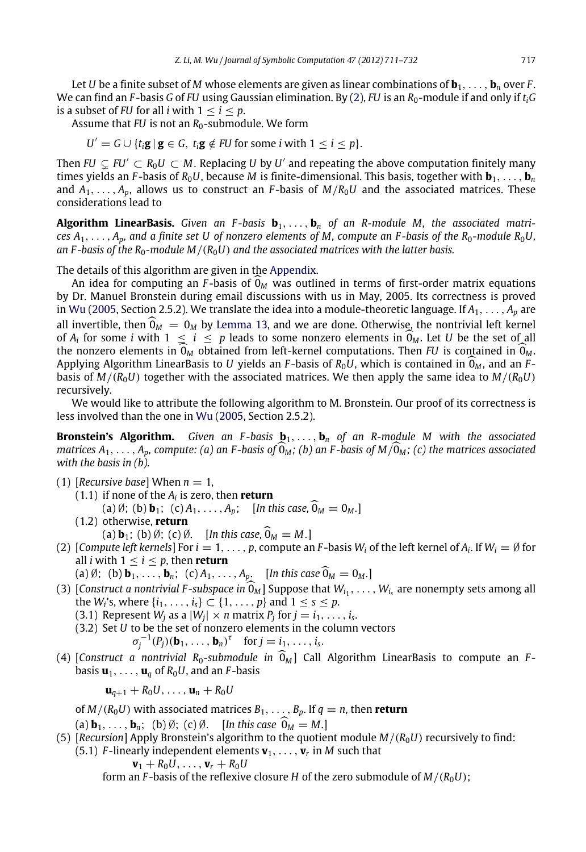Let *U* be a finite subset of *M* whose elements are given as linear combinations of  $\mathbf{b}_1, \ldots, \mathbf{b}_n$  over *F*. We can find an *F* -basis *G* of *FU* using Gaussian elimination. By [\(2\)](#page-3-4), *FU* is an *R*0-module if and only if *tiG* is a subset of *FU* for all *i* with  $1 < i < p$ .

Assume that *FU* is not an *R*<sub>0</sub>-submodule. We form

 $U' = G \cup \{t_i \mathbf{g} \mid \mathbf{g} \in G, t_i \mathbf{g} \notin FU$  for some *i* with  $1 \leq i \leq p$ .

Then  $FU \subset FU' \subset R_0U \subset M$ . Replacing  $U$  by  $U'$  and repeating the above computation finitely many times yields an *F*-basis of  $R_0U$ , because *M* is finite-dimensional. This basis, together with  $\mathbf{b}_1, \ldots, \mathbf{b}_n$ and  $A_1, \ldots, A_n$ , allows us to construct an *F*-basis of  $M/R_0U$  and the associated matrices. These considerations lead to

**Algorithm LinearBasis.** *Given an F -basis* **b**1, . . . , **b***<sup>n</sup> of an R-module M, the associated matrices*  $A_1, \ldots, A_p$ *, and a finite set U of nonzero elements of M, compute an F-basis of the*  $R_0$ -module  $R_0U$ , an F-basis of the  $R_0$ -module M/( $R_0$ U) and the associated matrices with the latter basis.

The details of this algorithm are given in the [Appendix.](#page-0-3)

An idea for computing an *F*-basis of  $\widehat{\theta}_M$  was outlined in terms of first-order matrix equations by Dr. Manuel Bronstein during email discussions with us in May, 2005. Its correctness is proved in [Wu](#page-21-3) [\(2005,](#page-21-3) Section 2.5.2). We translate the idea into a module-theoretic language. If *A*1, . . . , *A<sup>p</sup>* are all invertible, then  $\widehat{\theta}_M = 0_M$  by [Lemma](#page-4-2) [13,](#page-4-2) and we are done. Otherwise, the nontrivial left kernel of  $A_i$  for some *i* with  $1 \leq i \leq p$  leads to some nonzero elements in  $\widehat{\theta}_M$ . Let *U* be the set of all the popparts in  $\widehat{\theta}$ , obtained from left learned computations. Then *EU* is contained in  $\widehat{\theta}$ the nonzero elements in  $\widehat{O}_M$  obtained from left-kernel computations. Then *FU* is contained in  $\widehat{O}_M$ . Applying Algorithm LinearBasis to *<sup>U</sup>* yields an *<sup>F</sup>* -basis of *<sup>R</sup>*0*U*, which is contained in 0*<sup>M</sup>* , and an *<sup>F</sup>* basis of  $M/(R_0U)$  together with the associated matrices. We then apply the same idea to  $M/(R_0U)$ recursively.

We would like to attribute the following algorithm to M. Bronstein. Our proof of its correctness is less involved than the one in [Wu](#page-21-3) [\(2005,](#page-21-3) Section 2.5.2).

**Bronstein's Algorithm.** *Given an F-basis*  $\mathbf{b}_1, \ldots, \mathbf{b}_n$  *of an R-module M with the associated matrices*  $A_1, \ldots, A_n$ , *compute:* (a) an *F*-basis of  $\widehat{O}_M$ ; (b) an *F*-basis of  $M/\widehat{O}_M$ ; (c) the matrices associated *with the basis in (b).*

- (1) [*Recursive base*] When  $n = 1$ ,
	- (1.1) if none of the *A<sup>i</sup>* is zero, then **return** (a)  $\emptyset$ ; (b) **b**<sub>1</sub>; (c)  $A_1, ..., A_p$ ; [*In this case*,  $\widehat{\mathbf{0}}_M = \mathbf{0}_M$ .]
	- (1.2) otherwise, **return**
		- (a) **b**<sub>1</sub>; (b)  $\emptyset$ ; (c)  $\emptyset$ . [*In this case*,  $\widehat{0}_M = M$ .]
- (2) [Compute left kernels] For  $i = 1, \ldots, p$ , compute an *F*-basis  $W_i$  of the left kernel of  $A_i$ . If  $W_i = \emptyset$  for all *i* with  $1 \leq i \leq p$ , then **return**

(a)  $\emptyset$ ; (b)  $\mathbf{b}_1, \ldots, \mathbf{b}_n$ ; (c)  $A_1, \ldots, A_p$ . [In this case  $\widehat{\mathbf{0}}_M = \mathbf{0}_M$ .]

- (3) [*Construct a nontrivial F-subspace in*  $0_M$ ] Suppose that  $W_{i_1}, \ldots, W_{i_s}$  are nonempty sets among all the *W*<sup>*i*</sup> suppose that  $W_{i_1}, \ldots, W_{i_s}$  are nonempty sets among all the *W*<sup>*i*</sup>'s, where  $\{i_1, ..., i_s\} \subset \{1, ..., p\}$  and  $1 \le s \le p$ .
	- (3.1) Represent  $W_j$  as a  $|W_j| \times n$  matrix  $P_j$  for  $j = i_1, \ldots, i_s$ .
	- (3.2) Set *U* to be the set of nonzero elements in the column vectors  $\sigma_j^{-1}(P_j)(\mathbf{b}_1, \ldots, \mathbf{b}_n)^\tau$  for  $j = i_1, \ldots, i_s$ .
- (4) [*Construct a nontrivial R*<sub>0</sub>-submodule in  $\widehat{O}_M$ ] Call Algorithm LinearBasis to compute an *F*basis  $\mathbf{u}_1, \ldots, \mathbf{u}_q$  of  $R_0U$ , and an *F*-basis

 $\mathbf{u}_{q+1} + R_0 U, \ldots, \mathbf{u}_n + R_0 U$ 

of  $M/(R_0 U)$  with associated matrices  $B_1, \ldots, B_p$ . If  $q = n$ , then **return** 

(a)  $\mathbf{b}_1, \ldots, \mathbf{b}_n$ ; (b) Ø; (c) Ø. [*In this case*  $\mathbf{0}_M = M$ .]

- (5)  $[Recursion]$  Apply Bronstein's algorithm to the quotient module  $M/(R_0U)$  recursively to find:
	- $(5.1)$  *F*-linearly independent elements  $\mathbf{v}_1, \ldots, \mathbf{v}_r$  in *M* such that

 ${\bf v}_1 + R_0 U, \ldots, {\bf v}_r + R_0 U$ 

form an *F*-basis of the reflexive closure *H* of the zero submodule of  $M/(R_0 U)$ ;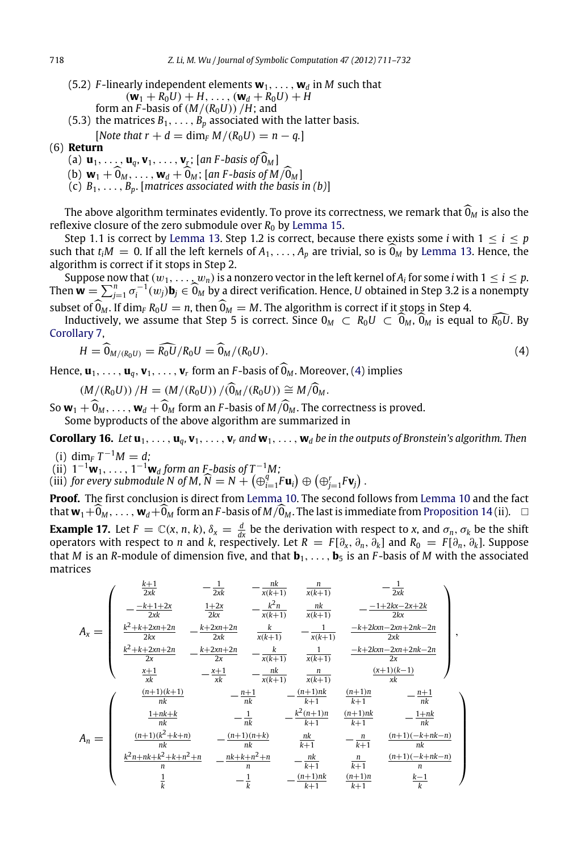- (5.2) *F*-linearly independent elements  $w_1, \ldots, w_d$  in *M* such that  $(\mathbf{w}_1 + R_0 U) + H, \ldots, (\mathbf{w}_d + R_0 U) + H$ form an *F*-basis of  $(M/(R_0U))$  /H; and
- (5.3) the matrices  $B_1, \ldots, B_p$  associated with the latter basis.
	- $[Note that r + d = \dim_F M / (R_0 U) = n q.]$

# (6) **Return**

- (a)  $\mathbf{u}_1, \ldots, \mathbf{u}_q, \mathbf{v}_1, \ldots, \mathbf{v}_r$ ; [an *F*-basis of  $\widehat{\mathbf{0}}_M$ ]
- (b)  $\mathbf{w}_1 + \widehat{\mathbf{0}}_M, \ldots, \mathbf{w}_d + \widehat{\mathbf{0}}_M$ ; [an *F*-basis of  $M/\widehat{\mathbf{0}}_M$ ]
- (c)  $B_1, \ldots, B_p$ . [matrices associated with the basis in (b)]

The above algorithm terminates evidently. To prove its correctness, we remark that  $\widehat{0}_M$  is also the reflexive closure of the zero submodule over  $R_0$  by [Lemma](#page-5-3) [15.](#page-5-3)

Step 1.1 is correct by [Lemma](#page-4-2) [13.](#page-4-2) Step 1.2 is correct, because there exists some *i* with  $1 \le i \le p$ such that  $t_iM = 0$ . If all the left kernels of  $A_1, \ldots, A_n$  are trivial, so is  $\widehat{O}_M$  by [Lemma](#page-4-2) [13.](#page-4-2) Hence, the algorithm is correct if it stops in Step 2.

Suppose now that  $(w_1, \ldots, w_n)$  is a nonzero vector in the left kernel of  $A_i$  for some  $i$  with  $1 \leq i \leq p$ . Then  $\mathbf{w} = \sum_{j=1}^n \sigma_j^{-1}(w_j) \mathbf{b}_j \in \widehat{\mathbf{0}}_M$  by a direct verification. Hence, *U* obtained in Step 3.2 is a nonempty subset of  $\widehat{0}_M$ . If dim<sub>F</sub>  $R_0U = n$ , then  $\widehat{0}_M = M$ . The algorithm is correct if it stops in Step 4.

Inductively, we assume that Step 5 is correct. Since  $0_M \text{ }\subset R_0U \subset O_M$ ,  $0_M$  is equal to  $\overline{R_0U}$ . By [Corollary](#page-3-3) [7,](#page-3-3)

<span id="page-7-0"></span>
$$
H = \widehat{\mathbf{0}}_{M/(R_0 U)} = \widehat{R_0 U}/R_0 U = \widehat{\mathbf{0}}_M/(R_0 U). \tag{4}
$$

Hence,  $\mathbf{u}_1, \ldots, \mathbf{u}_q, \mathbf{v}_1, \ldots, \mathbf{v}_r$  form an *F*-basis of  $0_M$ . Moreover, [\(4\)](#page-7-0) implies

<span id="page-7-1"></span>
$$
(M/(R_0U)) / H = (M/(R_0U)) / (\widehat{0}_M/(R_0U)) \cong M/\widehat{0}_M.
$$

So  $\mathbf{w}_1 + \hat{\mathbf{0}}_M, \ldots, \mathbf{w}_d + \hat{\mathbf{0}}_M$  form an *F*-basis of  $M/\hat{\mathbf{0}}_M$ . The correctness is proved.

Some byproducts of the above algorithm are summarized in

**Corollary 16.** Let  $\mathbf{u}_1, \ldots, \mathbf{u}_a, \mathbf{v}_1, \ldots, \mathbf{v}_r$  and  $\mathbf{w}_1, \ldots, \mathbf{w}_d$  be in the outputs of Bronstein's algorithm. Then

(i) dim<sub>*F*</sub>  $T^{-1}M = d$ ;

(ii)  $1^{-1}$ **w**<sub>1</sub>, ...,  $1^{-1}$ **w**<sub>*d*</sub> form an F-basis of T<sup>-1</sup>M;

(iii) for every submodule N of M,  $\widehat{N} = N + (\bigoplus_{i=1}^{q} F \mathbf{u}_i) \oplus (\bigoplus_{j=1}^{r} F \mathbf{v}_j)$ .

<span id="page-7-2"></span>**Proof.** The first conclusion is direct from [Lemma](#page-4-1) [10.](#page-4-1) The second follows from [Lemma](#page-4-1) [10](#page-4-1) and the fact that  $w_1+\widehat{0}_M,\ldots,w_d+\widehat{0}_M$  form an *F*-basis of  $M/\widehat{0}_M$ . The last is immediate from [Proposition](#page-5-2) [14](#page-5-2) (ii).  $\Box$ **Example 17.** Let  $F = \mathbb{C}(x, n, k)$ ,  $\delta_x = \frac{d}{dx}$  be the derivation with respect to *x*, and  $\sigma_n$ ,  $\sigma_k$  be the shift operators with respect to *n* and *k*, respectively. Let  $R = F[\partial_x, \partial_n, \partial_k]$  and  $R_0 = F[\partial_n, \partial_k]$ . Suppose that *M* is an *R*-module of dimension five, and that **b**1, . . . , **b**<sup>5</sup> is an *F* -basis of *M* with the associated matrices

$$
A_{x} = \begin{pmatrix} \frac{k+1}{2xk} & -\frac{1}{2xk} & -\frac{nk}{x(k+1)} & \frac{n}{x(k+1)} & -\frac{1}{2xk} \\ -\frac{-k+1+2x}{2xk} & \frac{1+2x}{2kx} & -\frac{k^{2}n}{x(k+1)} & \frac{nk}{x(k+1)} & -\frac{-1+2kx-2x+2k}{2kx} \\ \frac{k^{2}+k+2xn+2n}{2kx} & -\frac{k+2xn+2n}{2x} & \frac{1}{x(k+1)} & -\frac{1}{x(k+1)} & \frac{-k+2kxn-2xn+2nk-2n}{2xk} \\ \frac{k^{2}+k+2xn+2n}{2x} & -\frac{k+2xn+2n}{2x} & -\frac{k}{x(k+1)} & \frac{1}{x(k+1)} & \frac{-k+2kxn-2xn+2nk-2n}{2x} \\ \frac{x+1}{xk} & -\frac{x+1}{xk} & -\frac{nk}{x(k+1)} & \frac{n}{x(k+1)} & \frac{(x+1)(k-1)}{xk} \end{pmatrix},
$$
  

$$
A_{n} = \begin{pmatrix} \frac{(n+1)(k+1)}{nk} & -\frac{n+1}{nk} & -\frac{(n+1)nk}{k+1} & \frac{(n+1)nk}{k+1} & -\frac{n+1}{nk} \\ \frac{1+nk+k}{nk} & -\frac{1}{nk} & -\frac{k^{2}(n+1)n}{k+1} & \frac{(n+1)nk}{k+1} & -\frac{1+nk}{nk} \\ \frac{k^{2}n+nk+k^{2}+k+n^{2}+n}{n} & -\frac{nk+k+n^{2}+n}{n} & -\frac{nk}{k+1} & \frac{n}{k+1} & \frac{(n+1)(-k+nk-n)}{n} \\ \frac{1}{k} & -\frac{1}{k} & -\frac{(n+1)(nk)}{k+1} & \frac{(n+1)(-k+nk-n)}{k+1} & \frac{k-1}{k} \end{pmatrix}
$$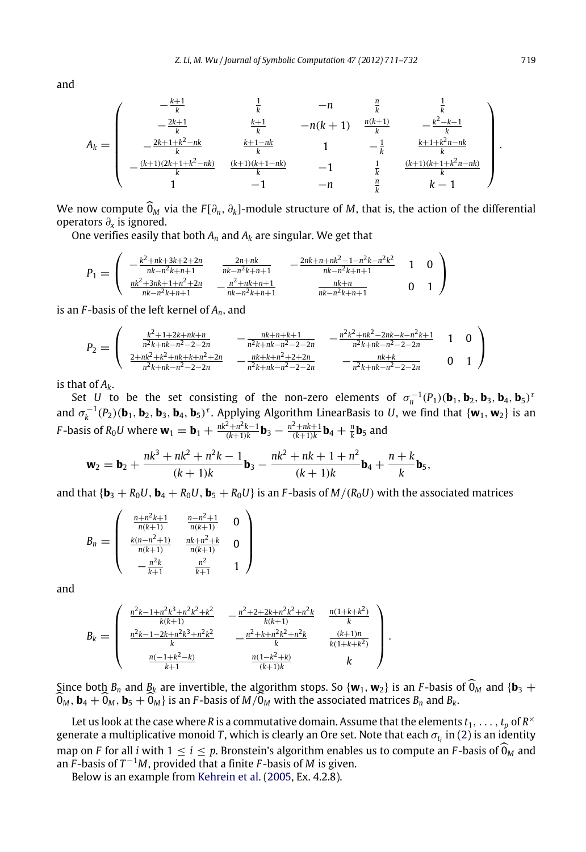and

$$
A_k = \begin{pmatrix} -\frac{k+1}{k} & \frac{1}{k} & -n & \frac{n}{k} & \frac{1}{k} \\ -\frac{2k+1}{k} & \frac{k+1}{k} & -n(k+1) & \frac{n(k+1)}{k} & -\frac{k^2-k-1}{k} \\ -\frac{2k+1+k^2-nk}{k} & \frac{k+1-nk}{k} & 1 & -\frac{1}{k} & \frac{k+1+k^2n-nk}{k} \\ -\frac{(k+1)(2k+1+k^2-nk)}{k} & \frac{(k+1)(k+1-nk)}{k} & -1 & \frac{1}{k} & \frac{(k+1)(k+1+k^2n-nk)}{k} \\ 1 & -1 & -n & \frac{n}{k} & k-1 \end{pmatrix}.
$$

We now compute  $\widehat{0}_M$  via the  $F[\partial_n, \partial_k]$ -module structure of *M*, that is, the action of the differential operators ∂*<sup>x</sup>* is ignored.

One verifies easily that both *A<sup>n</sup>* and *A<sup>k</sup>* are singular. We get that

$$
P_1 = \begin{pmatrix} -\frac{k^2 + nk + 3k + 2 + 2n}{nk - n^2 k + n + 1} & \frac{2n + nk}{nk - n^2 k + n + 1} & -\frac{2nk + n + nk^2 - 1 - n^2 k - n^2 k^2}{nk - n^2 k + n + 1} & 1 & 0\\ \frac{nk^2 + 3nk + 1 + n^2 + 2n}{nk - n^2 k + n + 1} & -\frac{n^2 + nk + n + 1}{nk - n^2 k + n + 1} & \frac{nk + n}{nk - n^2 k + n + 1} & 0 & 1 \end{pmatrix}
$$

is an *F* -basis of the left kernel of *An*, and

$$
P_2 = \begin{pmatrix} \frac{k^2 + 1 + 2k + nk + n}{n^2 k + nk - n^2 - 2 - 2n} & -\frac{nk + n + k + 1}{n^2 k + nk - n^2 - 2 - 2n} & -\frac{n^2 k^2 + nk^2 - 2nk - k - n^2 k + 1}{n^2 k + nk - n^2 - 2 - 2n} & 1 & 0\\ \frac{2 + nk^2 + k^2 + nk + k + n^2 + 2n}{n^2 k + nk - n^2 - 2 - 2n} & -\frac{nk + k + n^2 + 2 + 2n}{n^2 k + nk - n^2 - 2 - 2n} & -\frac{nk + k}{n^2 k + nk - n^2 - 2 - 2n} & 0 & 1 \end{pmatrix}
$$

is that of  $A_k$ .

Set *U* to be the set consisting of the non-zero elements of  $\sigma_n^{-1}(P_1)(\mathbf{b}_1, \mathbf{b}_2, \mathbf{b}_3, \mathbf{b}_4, \mathbf{b}_5)^T$ and  $\sigma_k^{-1}(P_2)(\mathbf{b}_1, \mathbf{b}_2, \mathbf{b}_3, \mathbf{b}_4, \mathbf{b}_5)^{\tau}$ . Applying Algorithm LinearBasis to *U*, we find that  $\{\mathbf{w}_1, \mathbf{w}_2\}$  is an *F*-basis of  $R_0 U$  where  $\mathbf{w}_1 = \mathbf{b}_1 + \frac{nk^2 + n^2k - 1}{(k+1)k} \mathbf{b}_3 - \frac{n^2 + nk + 1}{(k+1)k} \mathbf{b}_4 + \frac{n}{k} \mathbf{b}_5$  and

$$
\mathbf{w}_2 = \mathbf{b}_2 + \frac{nk^3 + nk^2 + n^2k - 1}{(k+1)k} \mathbf{b}_3 - \frac{nk^2 + nk + 1 + n^2}{(k+1)k} \mathbf{b}_4 + \frac{n+k}{k} \mathbf{b}_5,
$$

and that  $\{ \mathbf{b}_3 + R_0 U, \mathbf{b}_4 + R_0 U, \mathbf{b}_5 + R_0 U \}$  is an *F*-basis of  $M/(R_0 U)$  with the associated matrices

$$
B_n = \left(\begin{array}{ccc} \frac{n+n^2k+1}{n(k+1)} & \frac{n-n^2+1}{n(k+1)} & 0\\ \frac{k(n-n^2+1)}{n(k+1)} & \frac{nk+n^2+k}{n(k+1)} & 0\\ -\frac{n^2k}{k+1} & \frac{n^2}{k+1} & 1 \end{array}\right)
$$

and

$$
B_k = \begin{pmatrix} \frac{n^2k - 1 + n^2k^3 + n^2k^2 + k^2}{k(k+1)} & -\frac{n^2 + 2 + 2k + n^2k^2 + n^2k}{k(k+1)} & \frac{n(1 + k + k^2)}{k} \\ \frac{n^2k - 1 - 2k + n^2k^3 + n^2k^2}{k} & -\frac{n^2 + k + n^2k^2 + n^2k}{k} & \frac{(k+1)n}{k(1 + k + k^2)} \\ \frac{n(-1 + k^2 - k)}{k+1} & \frac{n(1 - k^2 + k)}{(k+1)k} & k \end{pmatrix}.
$$

Since both  $B_n$  and  $B_k$  are invertible, the algorithm stops. So  $\{w_1, w_2\}$  is an *F*-basis of  $\widehat{O}_M$  and  $\{b_3 + b_4\}$  $\widehat{0}_M$  ,  $\mathbf{b}_4 + \widehat{0}_M$  ,  $\mathbf{b}_5 + \widehat{0}_M$  } is an *F*-basis of  $M/\widehat{0}_M$  with the associated matrices  $B_n$  and  $B_k$ .

Let us look at the case where  $R$  is a commutative domain. Assume that the elements  $t_1,\ldots,t_p$  of  $R^\times$ generate a multiplicative monoid *T* , which is clearly an Ore set. Note that each  $\sigma_{t_i}$  in [\(2\)](#page-3-4) is an identity map on *F* for all *i* with  $1 \le i \le p$ . Bronstein's algorithm enables us to compute an *F*-basis of  $\hat{\mathbf{0}}_M$  and an  $\overline{F}$ -basis of  $T^{-1}M$ , provided that a finite  $F$ -basis of  $M$  is given.

Below is an example from [Kehrein et al.](#page-21-15) [\(2005,](#page-21-15) Ex. 4.2.8).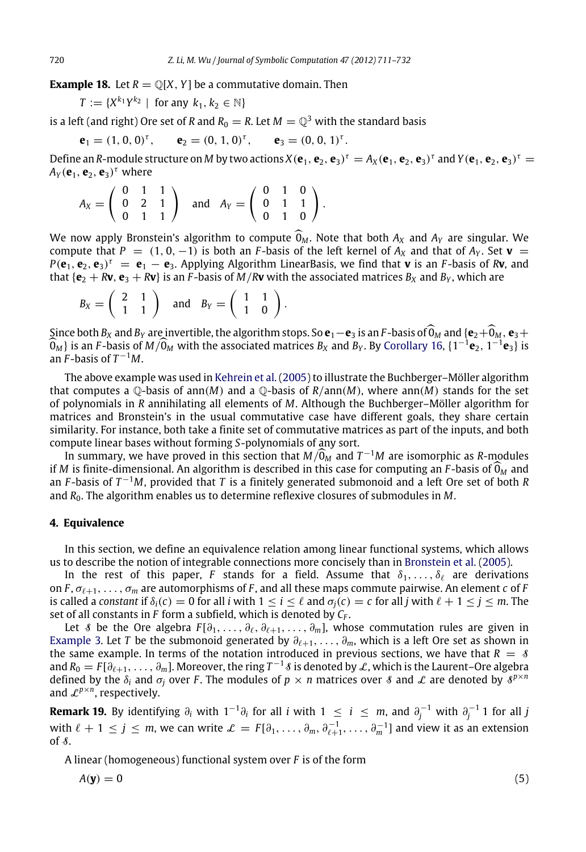**Example 18.** Let  $R = \mathbb{Q}[X, Y]$  be a commutative domain. Then

$$
T := \{X^{k_1}Y^{k_2} \mid \text{ for any } k_1, k_2 \in \mathbb{N}\}\
$$

is a left (and right) Ore set of *R* and  $R_0 = R$ . Let  $M = \mathbb{Q}^3$  with the standard basis

$$
\mathbf{e}_1 = (1, 0, 0)^{\tau}, \qquad \mathbf{e}_2 = (0, 1, 0)^{\tau}, \qquad \mathbf{e}_3 = (0, 0, 1)^{\tau}.
$$

Define an *R*-module structure on *M* by two actions  $X(e_1, e_2, e_3)^{\tau} = A_X(e_1, e_2, e_3)^{\tau}$  and  $Y(e_1, e_2, e_3)^{\tau} =$  $A_Y(\mathbf{e}_1, \mathbf{e}_2, \mathbf{e}_3)^\tau$  where

$$
A_X = \left(\begin{array}{rrr} 0 & 1 & 1 \\ 0 & 2 & 1 \\ 0 & 1 & 1 \end{array}\right) \quad \text{and} \quad A_Y = \left(\begin{array}{rrr} 0 & 1 & 0 \\ 0 & 1 & 1 \\ 0 & 1 & 0 \end{array}\right).
$$

We now apply Bronstein's algorithm to compute  $\widehat{\mathbb{O}}_M$ . Note that both  $A_X$  and  $A_Y$  are singular. We compute that  $P = (1, 0, -1)$  is both an *F*-basis of the left kernel of  $A_X$  and that of  $A_Y$ . Set **v** =  $P(\mathbf{e}_1, \mathbf{e}_2, \mathbf{e}_3)^{\tau} = \mathbf{e}_1 - \mathbf{e}_3$ . Applying Algorithm LinearBasis, we find that **v** is an *F*-basis of *R***v**, and that  ${\bf e}_2 + {\bf R}{\bf v}, {\bf e}_3 + {\bf R}{\bf v}$  is an *F*-basis of *M*/*R***v** with the associated matrices  $B_X$  and  $B_Y$ , which are

$$
B_X = \left(\begin{array}{cc} 2 & 1 \\ 1 & 1 \end{array}\right) \quad \text{and} \quad B_Y = \left(\begin{array}{cc} 1 & 1 \\ 1 & 0 \end{array}\right).
$$

Since both  $B_X$  and  $B_Y$  are invertible, the algorithm stops. So  $\mathbf{e}_1-\mathbf{e}_3$  is an *F*-basis of  $\widehat{O}_M$  and { $\mathbf{e}_2+\widehat{O}_M$ ,  $\mathbf{e}_3+$  $\widehat{\mathbf{O}}_M$  is an *F*-basis of  $M/\widehat{\mathbf{O}}_M$  with the associated matrices  $B_X$  and  $B_Y$ . By [Corollary](#page-7-1) [16,](#page-7-1)  $\{1^{-1}\mathbf{e}_2, 1^{-1}\mathbf{e}_3\}$  is an  $\widetilde{F}$ -basis of  $T^{-1}M$ .

The above example was used in [Kehrein et al.](#page-21-15) [\(2005\)](#page-21-15) to illustrate the Buchberger–Möller algorithm that computes a  $\mathbb{Q}$ -basis of ann(*M*) and a  $\mathbb{Q}$ -basis of *R*/ann(*M*), where ann(*M*) stands for the set of polynomials in *R* annihilating all elements of *M*. Although the Buchberger–Möller algorithm for matrices and Bronstein's in the usual commutative case have different goals, they share certain similarity. For instance, both take a finite set of commutative matrices as part of the inputs, and both compute linear bases without forming *S*-polynomials of any sort.

In summary, we have proved in this section that  $M/\widehat{O}_M$  and  $T^{-1}M$  are isomorphic as *R*-modules if *M* is finite-dimensional. An algorithm is described in this case for computing an *F*-basis of  $\widehat{\mathbb{O}_M}$  and an *F* -basis of *T* <sup>−</sup><sup>1</sup>*M*, provided that *T* is a finitely generated submonoid and a left Ore set of both *R* and *R*0. The algorithm enables us to determine reflexive closures of submodules in *M*.

### <span id="page-9-0"></span>**4. Equivalence**

In this section, we define an equivalence relation among linear functional systems, which allows us to describe the notion of integrable connections more concisely than in [Bronstein et al.](#page-21-2) [\(2005\)](#page-21-2).

In the rest of this paper, *F* stands for a field. Assume that  $\delta_1, \ldots, \delta_\ell$  are derivations on *F*,  $\sigma_{\ell+1}, \ldots, \sigma_m$  are automorphisms of *F*, and all these maps commute pairwise. An element *c* of *F* is called a *constant* if  $\delta_i(c) = 0$  for all *i* with  $1 \le i \le \ell$  and  $\sigma_i(c) = c$  for all *j* with  $\ell + 1 \le j \le m$ . The set of all constants in *F* form a subfield, which is denoted by *C<sup>F</sup>* .

Let *§* be the Ore algebra  $F[\partial_1, \ldots, \partial_\ell, \partial_{\ell+1}, \ldots, \partial_m]$ , whose commutation rules are given in [Example](#page-2-2) [3.](#page-2-2) Let *T* be the submonoid generated by  $\partial_{\ell+1}, \ldots, \partial_m$ , which is a left Ore set as shown in the same example. In terms of the notation introduced in previous sections, we have that  $R = S$ and  $R_0=F[\partial_{\ell+1},\ldots,\partial_m]$ . Moreover, the ring  $T^{-1}\delta$  is denoted by  $\mathcal L$ , which is the Laurent–Ore algebra defined by the  $\delta_i$  and  $\sigma_j$  over *F*. The modules of  $p \times n$  matrices over *§* and *L* are denoted by  $\delta^{p \times n}$ and L*<sup>p</sup>*×*<sup>n</sup>* , respectively.

**Remark 19.** By identifying  $\partial_i$  with  $1^{-1}\partial_i$  for all *i* with  $1 \leq i \leq m$ , and  $\partial_j^{-1}$  with  $\partial_j^{-1}$  1 for all *j* with  $\ell + 1 \leq j \leq m$ , we can write  $\mathcal{L} = F[\partial_1, \ldots, \partial_m, \partial_{\ell+1}^{-1}, \ldots, \partial_m^{-1}]$  and view it as an extension of  $\delta$ .

A linear (homogeneous) functional system over *F* is of the form

$$
A(\mathbf{y}) = 0 \tag{5}
$$

<span id="page-9-1"></span>
$$
(5)
$$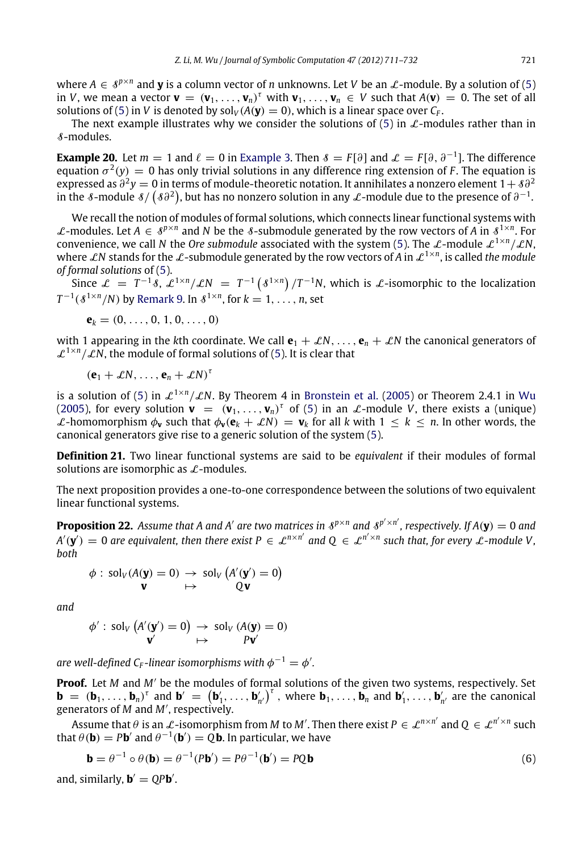where  $A \in \mathcal{S}^{p \times n}$  and **y** is a column vector of *n* unknowns. Let *V* be an  $\mathcal{L}$ -module. By a solution of [\(5\)](#page-9-1) in *V*, we mean a vector  $\mathbf{v} = (\mathbf{v}_1, \dots, \mathbf{v}_n)^T$  with  $\mathbf{v}_1, \dots, \mathbf{v}_n \in V$  such that  $A(\mathbf{v}) = 0$ . The set of all solutions of [\(5\)](#page-9-1) in *V* is denoted by  $\text{sol}_V(A(\mathbf{y}) = 0)$ , which is a linear space over  $C_F$ .

The next example illustrates why we consider the solutions of [\(5\)](#page-9-1) in  $\mathcal{L}\text{-modules}$  rather than in S-modules.

**[Example](#page-2-2) 20.** Let  $m = 1$  and  $\ell = 0$  in Example [3.](#page-2-2) Then  $\ell = F[\partial]$  and  $\mathcal{L} = F[\partial, \partial^{-1}]$ . The difference equation  $\sigma^2(y) = 0$  has only trivial solutions in any difference ring extension of *F*. The equation is expressed as  $\partial^2 y = 0$  in terms of module-theoretic notation. It annihilates a nonzero element 1+  $\delta\partial^2$ in the *8*-module  $\frac{s}{(\frac{s\partial^2}{n})}$ , but has no nonzero solution in any *L*-module due to the presence of  $\partial^{-1}$ .

We recall the notion of modules of formal solutions, which connects linear functional systems with *L*-modules. Let *A* ∈  $\delta^{p \times n}$  and *N* be the *8*-submodule generated by the row vectors of *A* in  $\delta^{1 \times n}$ . For convenience, we call *N* the *Ore submodule* associated with the system [\(5\)](#page-9-1). The  $\mathcal{L}$ -module  $\mathcal{L}^{1 \times n}/\mathcal{L}N$ , where  $\mathcal{L}N$  stands for the  $\mathcal{L}$ -submodule generated by the row vectors of A in  $\mathcal{L}^{1\times n}$ , is called the module *of formal solutions* of [\(5\)](#page-9-1).

Since  $\mathcal{L} = T^{-1}\delta$ ,  $\mathcal{L}^{1\times n}/\mathcal{L}N = T^{-1}(\delta^{1\times n})/T^{-1}N$ , which is  $\mathcal{L}$ -isomorphic to the localization  $T^{-1}(\mathcal{S}^{1\times n}/N)$  by [Remark](#page-3-5) [9.](#page-3-5) In  $\mathcal{S}^{1\times n}$ , for  $k=1,\ldots,n$ , set

$$
\boldsymbol{e}_k=(0,\ldots,0,1,0,\ldots,0)
$$

with 1 appearing in the *k*th coordinate. We call  $e_1 + \mathcal{L}N, \ldots, e_n + \mathcal{L}N$  the canonical generators of  $\mathcal{L}^{1 \times n} / \mathcal{L}N$ , the module of formal solutions of [\(5\)](#page-9-1). It is clear that

$$
(\mathbf{e}_1+\mathcal{L}N,\ldots,\mathbf{e}_n+\mathcal{L}N)^{\tau}
$$

is a solution of [\(5\)](#page-9-1) in  $\mathcal{L}^{1\times n}/\mathcal{L}N$ . By Theorem 4 in [Bronstein et al.](#page-21-2) [\(2005\)](#page-21-2) or Theorem 2.4.1 in [Wu](#page-21-3) [\(2005\)](#page-21-3), for every solution  $\mathbf{v} = (\mathbf{v}_1, \dots, \mathbf{v}_n)^T$  of [\(5\)](#page-9-1) in an  $\mathcal{L}$ -module *V*, there exists a (unique)  $\mathcal{L}$ -homomorphism  $\phi_{\mathbf{v}}$  such that  $\phi_{\mathbf{v}}(\mathbf{e}_k + \mathcal{L}N) = \mathbf{v}_k$  for all *k* with  $1 \leq k \leq n$ . In other words, the canonical generators give rise to a generic solution of the system [\(5\)](#page-9-1).

**Definition 21.** Two linear functional systems are said to be *equivalent* if their modules of formal solutions are isomorphic as  $\mathcal{L}$ -modules.

The next proposition provides a one-to-one correspondence between the solutions of two equivalent linear functional systems.

**Proposition 22.** Assume that A and A' are two matrices in  $s^{p \times n}$  and  $s^{p' \times n'}$ , respectively. If  $A(y) = 0$  and  $A'(\mathbf{y}') = 0$  are equivalent, then there exist  $P \in \mathcal{L}^{n \times n'}$  and  $Q \in \mathcal{L}^{n' \times n}$  such that, for every  $\mathcal{L}$ -module V, *both*

<span id="page-10-1"></span>
$$
\phi: \text{sol}_V(A(\mathbf{y}) = 0) \rightarrow \text{sol}_V(A'(\mathbf{y}') = 0)
$$
  

$$
\mathbf{v} \mapsto \mathbf{Q}\mathbf{v}
$$

*and*

$$
\phi' : \text{sol}_V(A'(\mathbf{y}') = 0) \rightarrow \text{sol}_V(A(\mathbf{y}) = 0)
$$
  

$$
\mathbf{v}' \rightarrow \mathbf{p}\mathbf{v}'
$$

are well-defined C<sub>F</sub>-linear isomorphisms with  $\phi^{-1} = \phi'$ .

**Proof.** Let *M* and *M*′ be the modules of formal solutions of the given two systems, respectively. Set  $\mathbf{b} = (\mathbf{b}_1, \dots, \mathbf{b}_n)^T$  and  $\mathbf{b}' = (\mathbf{b}'_1, \dots, \mathbf{b}'_n)^T$ , where  $\mathbf{b}_1, \dots, \mathbf{b}_n$  and  $\mathbf{b}'_1, \dots, \mathbf{b}'_n$  are the canonical generators of *M* and *M*′ , respectively.

Assume that  $\theta$  is an  $\mathcal{L}$ -isomorphism from *M* to *M'*. Then there exist  $P \in \mathcal{L}^{n \times n'}$  and  $Q \in \mathcal{L}^{n' \times n}$  such that  $\theta(\mathbf{b}) = P\mathbf{b}'$  and  $\theta^{-1}(\mathbf{b}') = Q\mathbf{b}$ . In particular, we have

<span id="page-10-0"></span>
$$
\mathbf{b} = \theta^{-1} \circ \theta(\mathbf{b}) = \theta^{-1}(P\mathbf{b}') = P\theta^{-1}(\mathbf{b}') = PQ\mathbf{b}
$$
 (6)

and, similarly,  $\mathbf{b}' = QP\mathbf{b}'$ .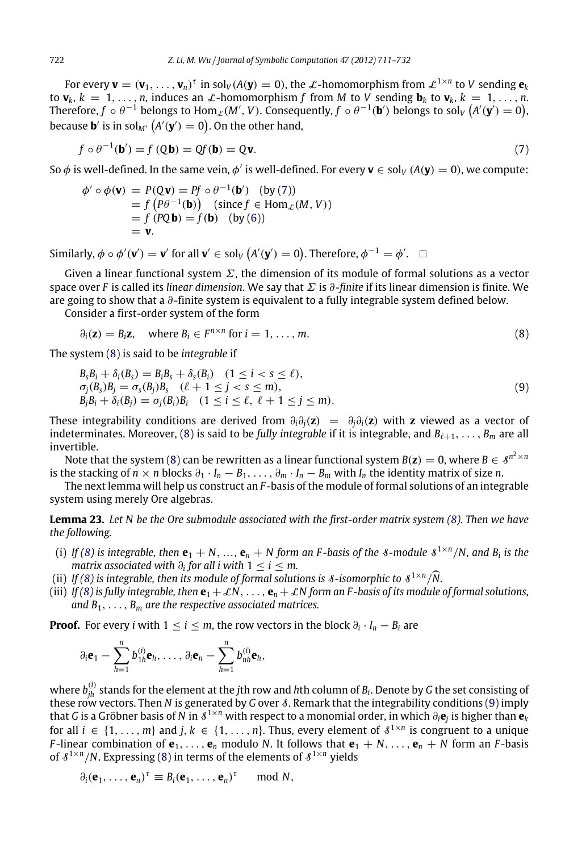For every  $\mathbf{v} = (\mathbf{v}_1,\ldots,\mathbf{v}_n)^\tau$  in sol<sub>V</sub>(A(**y**) = 0), the L-homomorphism from  $\mathcal{L}^{1\times n}$  to V sending  $\mathbf{e}_k$ to  $\mathbf{v}_k$ ,  $k = 1, \ldots, n$ , induces an  $\mathcal{L}$ -homomorphism f from M to V sending  $\mathbf{b}_k$  to  $\mathbf{v}_k$ ,  $k = 1, \ldots, n$ . Therefore,  $f \circ \theta^{-1}$  belongs to  $\text{Hom}_{\mathcal{L}}(M',V)$ . Consequently,  $f \circ \theta^{-1}(\mathbf{b}')$  belongs to sol<sub>V</sub>  $\big(A'(\mathbf{y}')=0\big)$ , because  $\mathbf{b}'$  is in sol<sub>M′</sub>  $\big(A'(\mathbf{y}')=0\big).$  On the other hand,

<span id="page-11-0"></span>
$$
f \circ \theta^{-1}(\mathbf{b}') = f(Q\mathbf{b}) = Qf(\mathbf{b}) = Q\mathbf{v}.\tag{7}
$$

So  $\phi$  is well-defined. In the same vein,  $\phi'$  is well-defined. For every  $\mathbf{v}\in$  sol<sub>V</sub> (A( $\mathbf{y})=0$ ), we compute:

$$
\begin{array}{l}\n\phi' \circ \phi(\mathbf{v}) = P(\mathbf{Q}\mathbf{v}) = Pf \circ \theta^{-1}(\mathbf{b}') \quad \text{(by (7))} \\
= f(P\theta^{-1}(\mathbf{b})) \quad \text{(since } f \in \text{Hom}_{\mathcal{L}}(M, V)) \\
= f(P\mathbf{Q}\mathbf{b}) = f(\mathbf{b}) \quad \text{(by (6))} \\
= \mathbf{v}.\n\end{array}
$$

Similarly,  $\phi \circ \phi'(\mathbf{v}') = \mathbf{v}'$  for all  $\mathbf{v}' \in \text{sol}_V(A'(\mathbf{y}') = 0)$ . Therefore,  $\phi^{-1} = \phi'$ .  $\Box$ 

Given a linear functional system  $\Sigma$ , the dimension of its module of formal solutions as a vector space over *F* is called its *linear dimension*. We say that Σ is ∂*-finite* if its linear dimension is finite. We are going to show that a ∂-finite system is equivalent to a fully integrable system defined below.

Consider a first-order system of the form

<span id="page-11-2"></span><span id="page-11-1"></span>
$$
\partial_i(\mathbf{z}) = B_i \mathbf{z}, \quad \text{where } B_i \in F^{n \times n} \text{ for } i = 1, \dots, m. \tag{8}
$$

The system [\(8\)](#page-11-1) is said to be *integrable* if

$$
B_{s}B_{i} + \delta_{i}(B_{s}) = B_{i}B_{s} + \delta_{s}(B_{i}) \quad (1 \leq i < s \leq \ell),
$$
\n
$$
\sigma_{j}(B_{s})B_{j} = \sigma_{s}(B_{j})B_{s} \quad (\ell + 1 \leq j < s \leq m),
$$
\n
$$
B_{j}B_{i} + \delta_{i}(B_{j}) = \sigma_{j}(B_{i})B_{i} \quad (1 \leq i \leq \ell, \ell + 1 \leq j \leq m).
$$
\n(9)

These integrability conditions are derived from  $\partial_i \partial_j(z) = \partial_j \partial_j(z)$  with **z** viewed as a vector of indeterminates. Moreover, [\(8\)](#page-11-1) is said to be *fully integrable* if it is integrable, and  $B_{\ell+1}, \ldots, B_m$  are all invertible.

Note that the system [\(8\)](#page-11-1) can be rewritten as a linear functional system  $B(\mathbf{z})=0,$  where  $B\in \mathcal{S}^{n^2\times n}$ is the stacking of  $n \times n$  blocks  $\partial_1 \cdot I_n - B_1, \ldots, \partial_m \cdot I_n - B_m$  with  $I_n$  the identity matrix of size *n*.

<span id="page-11-3"></span>The next lemma will help us construct an *F* -basis of the module of formal solutions of an integrable system using merely Ore algebras.

**Lemma 23.** *Let N be the Ore submodule associated with the first-order matrix system [\(8\)](#page-11-1). Then we have the following.*

- (i) If [\(8\)](#page-11-1) is integrable, then  $e_1 + N$ , ...,  $e_n + N$  form an F-basis of the *8*-module  $S^{1 \times n}/N$ , and  $B_i$  is the *matrix associated with*  $\partial_i$  *for all i with*  $1 \leq i \leq m$ .
- (ii) If [\(8\)](#page-11-1) is integrable, then its module of formal solutions is  $\delta$ -isomorphic to  $\delta^{1 \times n}/\tilde{N}$ .<br>  $\mathcal{L}^{(2)}$  is fill integrable than  $\delta_{n}$  is  $\mathcal{L}^{(N)}$ .
- (iii) *If* [\(8\)](#page-11-1) is fully integrable, then  $\mathbf{e}_1 + \mathcal{L}N$ , ...,  $\mathbf{e}_n + \mathcal{L}N$  form an F-basis of its module of formal solutions, *and B*1, . . . , *B<sup>m</sup> are the respective associated matrices.*

**Proof.** For every *i* with  $1 \leq i \leq m$ , the row vectors in the block  $\partial_i \cdot I_n - B_i$  are

$$
\partial_i \mathbf{e}_1 - \sum_{h=1}^n b_{1h}^{(i)} \mathbf{e}_h, \ldots, \partial_i \mathbf{e}_n - \sum_{h=1}^n b_{nh}^{(i)} \mathbf{e}_h,
$$

where *b* (*i*) *jh* stands for the element at the *j*th row and *h*th column of *B<sup>i</sup>* . Denote by *G* the set consisting of these row vectors. Then *N* is generated by *G* over S. Remark that the integrability conditions [\(9\)](#page-11-2) imply that *G* is a Gröbner basis of *N* in  $s^{1\times n}$  with respect to a monomial order, in which  $\partial_i{\bf e}_j$  is higher than  ${\bf e}_k$ for all  $i \in \{1, \ldots, m\}$  and  $j, k \in \{1, \ldots, n\}$ . Thus, every element of  $\delta^{1 \times n}$  is congruent to a unique *F*-linear combination of  $e_1, \ldots, e_n$  modulo *N*. It follows that  $e_1 + N, \ldots, e_n + N$  form an *F*-basis of  $\delta^{1 \times n}/N$ . Expressing [\(8\)](#page-11-1) in terms of the elements of  $\delta^{1 \times n}$  yields

$$
\partial_i(\mathbf{e}_1,\ldots,\mathbf{e}_n)^\tau \equiv B_i(\mathbf{e}_1,\ldots,\mathbf{e}_n)^\tau \mod N,
$$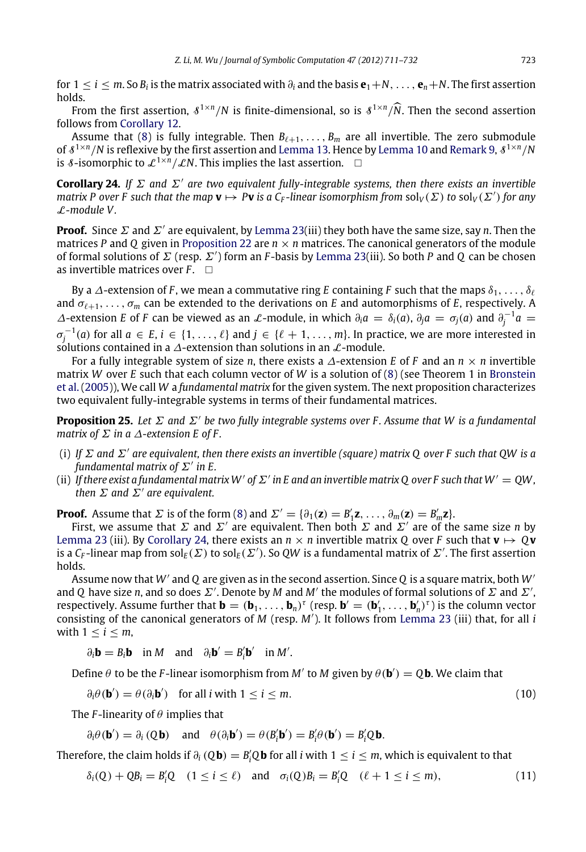for  $1 \le i \le m$ . So  $B_i$  is the matrix associated with  $\partial_i$  and the basis  $e_1+N,\ldots,e_n+N$ . The first assertion holds.

From the first assertion,  $\delta^{1 \times n}/N$  is finite-dimensional, so is  $\delta^{1 \times n}/\widehat{N}$ . Then the second assertion follows from [Corollary](#page-4-3) [12.](#page-4-3)

Assume that [\(8\)](#page-11-1) is fully integrable. Then  $B_{\ell+1}, \ldots, B_m$  are all invertible. The zero submodule of  $\delta^{1 \times n}/N$  is reflexive by the first assertion and [Lemma](#page-4-1) [13.](#page-4-2) Hence by Lemma [10](#page-4-1) and [Remark](#page-3-5) [9,](#page-3-5)  $\delta^{1 \times n}/N$ is *8*-isomorphic to  $\mathcal{L}^{1 \times n}/\mathcal{L}N$ . This implies the last assertion.  $\Box$ 

<span id="page-12-0"></span>**Corollary 24.** *If* Σ *and* Σ′ *are two equivalent fully-integrable systems, then there exists an invertible matrix P* over *F* such that the map  $v \mapsto PV$  is a  $C_F$ -linear isomorphism from  $sol_V(\Sigma)$  to  $sol_V(\Sigma')$  for any L*-module V .*

**Proof.** Since  $\Sigma$  and  $\Sigma'$  are equivalent, by [Lemma](#page-11-3) [23\(](#page-11-3)iii) they both have the same size, say *n*. Then the matrices *P* and *Q* given in [Proposition](#page-10-1) [22](#page-10-1) are  $n \times n$  matrices. The canonical generators of the module of formal solutions of Σ (resp. Σ′ ) form an *F* -basis by [Lemma](#page-11-3) [23\(](#page-11-3)iii). So both *P* and *Q* can be chosen as invertible matrices over  $F$ .  $\Box$ 

By a  $\Delta$ -extension of *F*, we mean a commutative ring *E* containing *F* such that the maps  $\delta_1, \ldots, \delta_\ell$ and σℓ+1, . . . , σ*<sup>m</sup>* can be extended to the derivations on *E* and automorphisms of *E*, respectively. A  $\Delta$ -extension *E* of *F* can be viewed as an  $\mathcal{L}$ -module, in which  $\partial_i a = \delta_i(a)$ ,  $\partial_j a = \sigma_j(a)$  and  $\partial_j^{-1} a =$  $\sigma_j^{-1}(a)$  for all  $a \in E$ ,  $i \in \{1, \ldots, \ell\}$  and  $j \in \{\ell+1, \ldots, m\}$ . In practice, we are more interested in solutions contained in a  $\Delta$ -extension than solutions in an  $\mathcal{L}$ -module.

For a fully integrable system of size *n*, there exists a  $\Delta$ -extension *E* of *F* and an  $n \times n$  invertible [m](#page-21-2)atrix *W* over *E* such that each column vector of *W* is a solution of [\(8\)](#page-11-1) (see Theorem 1 in [Bronstein](#page-21-2) [et al.](#page-21-2) [\(2005\)](#page-21-2)), We call *W* a *fundamental matrix* for the given system. The next proposition characterizes two equivalent fully-integrable systems in terms of their fundamental matrices.

**Proposition 25.** *Let* Σ *and* Σ′ *be two fully integrable systems over F . Assume that W is a fundamental matrix of* Σ *in a* ∆*-extension E of F .*

- (i) *If* Σ *and* Σ′ *are equivalent, then there exists an invertible (square) matrix Q over F such that QW is a fundamental matrix of* Σ′ *in E.*
- (ii) If there exist a fundamental matrix W' of  $\Sigma'$  in E and an invertible matrix Q over F such that  $W' = QW$ , *then* Σ *and* Σ′ *are equivalent.*

**Proof.** Assume that  $\Sigma$  is of the form [\(8\)](#page-11-1) and  $\Sigma' = {\partial_1(z) = B'_1 z, \ldots, \partial_m(z) = B'_m z}.$ 

First, we assume that  $\Sigma$  and  $\Sigma'$  are equivalent. Then both  $\Sigma$  and  $\Sigma'$  are of the same size *n* by [Lemma](#page-11-3) [23](#page-11-3) (iii). By [Corollary](#page-12-0) [24,](#page-12-0) there exists an  $n \times n$  invertible matrix Q over F such that  $\mathbf{v} \mapsto \mathbf{Q}\mathbf{v}$ is a  $C_F$ -linear map from  $\mathrm{sol}_E(\varSigma)$  to  $\mathrm{sol}_E(\varSigma')$ . So QW is a fundamental matrix of  $\varSigma'$ . The first assertion holds.

Assume now that *W*′ and *Q* are given as in the second assertion. Since *Q* is a square matrix, both *W*′ and *Q* have size *n*, and so does  $\Sigma'$ . Denote by *M* and *M'* the modules of formal solutions of  $\Sigma$  and  $\Sigma'$ , respectively. Assume further that  $\mathbf{b} = (\mathbf{b}_1, \dots, \mathbf{b}_n)^{\tau}$  (resp.  $\mathbf{b}' = (\mathbf{b}'_1, \dots, \mathbf{b}'_n)^{\tau}$ ) is the column vector consisting of the canonical generators of *M* (resp. *M*′ ). It follows from [Lemma](#page-11-3) [23](#page-11-3) (iii) that, for all *i* with  $1 \leq i \leq m$ ,

<span id="page-12-2"></span> $\partial_i \mathbf{b} = B_i \mathbf{b}$  in *M* and  $\partial_i \mathbf{b}' = B'_i \mathbf{b}'$  in *M'*.

Define  $\theta$  to be the *F*-linear isomorphism from *M'* to *M* given by  $\theta$ (**b**') = Q**b**. We claim that

$$
\partial_i \theta(\mathbf{b}') = \theta(\partial_i \mathbf{b}') \quad \text{for all } i \text{ with } 1 \le i \le m. \tag{10}
$$

The *F*-linearity of  $\theta$  implies that

<span id="page-12-1"></span>
$$
\partial_i \theta(\mathbf{b}') = \partial_i (Q\mathbf{b})
$$
 and  $\theta(\partial_i \mathbf{b}') = \theta(B'_i \mathbf{b}') = B'_i \theta(\mathbf{b}') = B'_i Q\mathbf{b}$ .

Therefore, the claim holds if  $\partial_i$  (Q**b**) = B'<sub>i</sub>Q**b** for all *i* with 1 ≤ *i* ≤ *m*, which is equivalent to that

$$
\delta_i(Q) + QB_i = B'_iQ \quad (1 \leq i \leq \ell) \quad \text{and} \quad \sigma_i(Q)B_i = B'_iQ \quad (\ell+1 \leq i \leq m), \tag{11}
$$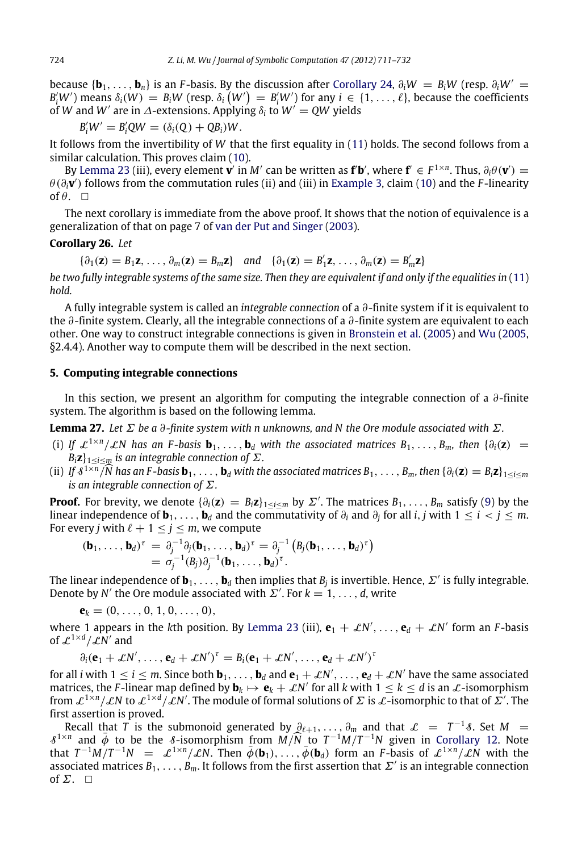because  $\{b_1, \ldots, b_n\}$  is an *F*-basis. By the discussion after [Corollary](#page-12-0) [24,](#page-12-0)  $\partial_i W = B_i W$  (resp.  $\partial_i W' =$  $B'_iW'$ ) means  $\delta_i(W) = B_iW$  (resp.  $\delta_i(W') = B'_iW'$ ) for any  $i \in \{1, \ldots, \ell\}$ , because the coefficients of *W* and *W'* are in  $\Delta$ -extensions. Applying  $\delta_i$  to  $W' = QW$  yields

$$
B_i'W' = B_i'QW = (\delta_i(Q) + QB_i)W.
$$

It follows from the invertibility of *W* that the first equality in [\(11\)](#page-12-1) holds. The second follows from a similar calculation. This proves claim [\(10\)](#page-12-2).

By [Lemma](#page-11-3) [23](#page-11-3) (iii), every element  $\mathbf{v}'$  in M' can be written as  $\mathbf{f}'\mathbf{b}'$ , where  $\mathbf{f}' \in F^{1 \times n}$ . Thus,  $\partial_i \theta(\mathbf{v}') =$ θ (∂*i***v** ′ ) follows from the commutation rules (ii) and (iii) in [Example](#page-2-2) [3,](#page-2-2) claim [\(10\)](#page-12-2) and the *F* -linearity of  $\theta$ .  $\Box$ 

The next corollary is immediate from the above proof. It shows that the notion of equivalence is a generalization of that on page 7 of [van der Put and Singer](#page-21-0) [\(2003\)](#page-21-0).

### **Corollary 26.** *Let*

 $\{\partial_1(\mathbf{z}) = B_1\mathbf{z}, \dots, \partial_m(\mathbf{z}) = B_m\mathbf{z}\}\$ and  $\{\partial_1(\mathbf{z}) = B'_1\mathbf{z}, \dots, \partial_m(\mathbf{z}) = B'_m\mathbf{z}\}\$ 

*be two fully integrable systems of the same size. Then they are equivalent if and only if the equalities in* [\(11\)](#page-12-1) *hold.*

A fully integrable system is called an *integrable connection* of a ∂-finite system if it is equivalent to the ∂-finite system. Clearly, all the integrable connections of a ∂-finite system are equivalent to each other. One way to construct integrable connections is given in [Bronstein et al.](#page-21-2) [\(2005\)](#page-21-2) and [Wu](#page-21-3) [\(2005,](#page-21-3) §2.4.4). Another way to compute them will be described in the next section.

## <span id="page-13-0"></span>**5. Computing integrable connections**

In this section, we present an algorithm for computing the integrable connection of a  $\partial$ -finite system. The algorithm is based on the following lemma.

<span id="page-13-1"></span>**Lemma 27.** *Let* Σ *be a* ∂*-finite system with n unknowns, and N the Ore module associated with* Σ*.*

- (i) If  $\mathcal{L}^{1\times n}/\mathcal{L}N$  has an F-basis  $\mathbf{b}_1,\ldots,\mathbf{b}_d$  with the associated matrices  $B_1,\ldots,B_m$ , then  $\{\partial_i(\mathbf{z})\}$  $B_i$ **z** $\}$ <sub>1 ≤*i*<*m*</sub> *is an integrable connection of*  $\Sigma$ *.*
- (ii) If  $\delta^{1 \times \overline{n}}/\widehat{N}$  has an F-basis  $\mathbf{b}_1, \ldots, \mathbf{b}_d$  with the associated matrices  $B_1, \ldots, B_m$ , then  $\{\partial_i(\mathbf{z}) = B_i \mathbf{z}\}_{1 \leq i \leq m}$ *is an integrable connection of* Σ*.*

**Proof.** For brevity, we denote  $\{\partial_i(z) = B_i z\}_{1 \leq i \leq m}$  by  $\Sigma'$ . The matrices  $B_1, \ldots, B_m$  satisfy [\(9\)](#page-11-2) by the linear independence of  $\mathbf{b}_1,\ldots,\mathbf{b}_d$  and the commutativity of  $\partial_i$  and  $\partial_j$  for all *i*, *j* with 1  $\leq i < j \leq m$ . For every *j* with  $\ell + 1 \le j \le m$ , we compute

$$
(\mathbf{b}_1,\ldots,\mathbf{b}_d)^\tau = \partial_j^{-1} \partial_j (\mathbf{b}_1,\ldots,\mathbf{b}_d)^\tau = \partial_j^{-1} \left( B_j (\mathbf{b}_1,\ldots,\mathbf{b}_d)^\tau \right) = \sigma_j^{-1} (B_j) \partial_j^{-1} (\mathbf{b}_1,\ldots,\mathbf{b}_d)^\tau.
$$

The linear independence of  $\mathbf{b}_1,\ldots,\mathbf{b}_d$  then implies that  $B_j$  is invertible. Hence,  $\mathbf{\Sigma}'$  is fully integrable. Denote by *N'* the Ore module associated with  $\Sigma'$ . For  $k = 1, \ldots, d$ , write

 ${\bf e}_k = (0, \ldots, 0, 1, 0, \ldots, 0),$ 

where 1 appears in the kth position. By [Lemma](#page-11-3) [23](#page-11-3) (iii),  $\mathbf{e}_1 + \mathcal{L}N'$ , . . . . ,  $\mathbf{e}_d + \mathcal{L}N'$  form an *F*-basis of  $\mathcal{L}^{1 \times d} / \mathcal{L}N'$  and

$$
\partial_i(\mathbf{e}_1+\mathcal{L}N',\ldots,\mathbf{e}_d+\mathcal{L}N')^{\tau}=B_i(\mathbf{e}_1+\mathcal{L}N',\ldots,\mathbf{e}_d+\mathcal{L}N')^{\tau}
$$

for all *i* with  $1 \le i \le m$ . Since both  $\mathbf{b}_1, \ldots, \mathbf{b}_d$  and  $\mathbf{e}_1 + \mathcal{L}N', \ldots, \mathbf{e}_d + \mathcal{L}N'$  have the same associated matrices, the F-linear map defined by  $\mathbf{b}_k \mapsto \mathbf{e}_k + \mathcal{L}N'$  for all  $k$  with  $1 \leq k \leq d$  is an  $\mathcal{L}$ -isomorphism from  $\mathcal{L}^{1\times n}/\mathcal{L}N$  to  $\mathcal{L}^{1\times d}/\mathcal{L}N'$ . The module of formal solutions of  $\Sigma$  is  $\mathcal{L}$ -isomorphic to that of  $\tilde{\Sigma}'$ . The first assertion is proved.

Recall that  $\hat{T}$  is the submonoid generated by  $\hat{Q}_{\ell+1},\ldots,\hat{q}_m$  and that  $\mathcal{L}$  =  $T^{-1}\mathcal{S}.$  Set M =  $\delta^{1 \times n}$  and  $\bar{\phi}$  to be the  $\delta$ -isomorphism from  $\bar{M}/\bar{N}$  to  $T^{-1}M/T^{-1}N$  given in [Corollary](#page-4-3) [12.](#page-4-3) Note that  $T^{-1}M/T^{-1}N = \mathcal{L}^{1 \times n}/\mathcal{L}N$ . Then  $\bar{\phi}(\mathbf{b}_1), \ldots, \bar{\phi}(\mathbf{b}_d)$  form an *F*-basis of  $\mathcal{L}^{1 \times n}/\mathcal{L}N$  with the associated matrices  $B_1,\ldots,B_m$ . It follows from the first assertion that  $\varSigma'$  is an integrable connection of  $\Sigma$ .  $\square$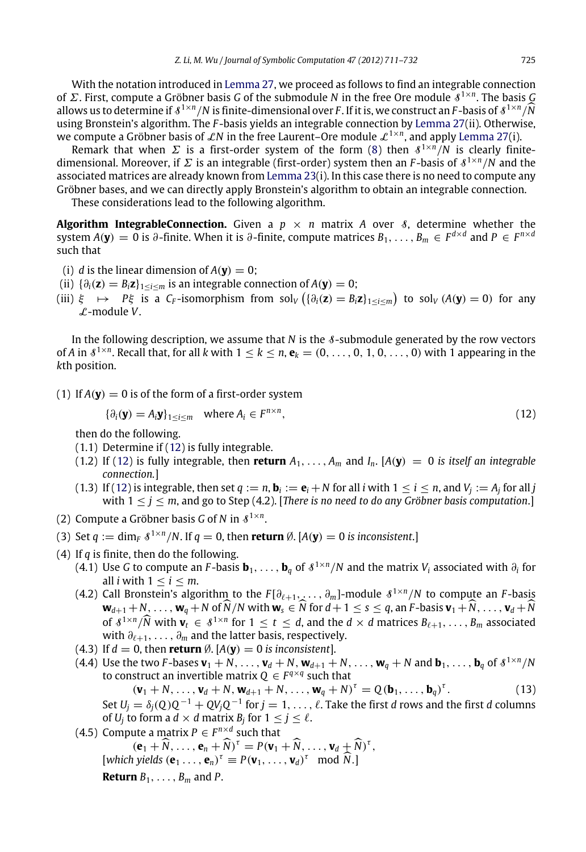With the notation introduced in [Lemma](#page-13-1) [27,](#page-13-1) we proceed as follows to find an integrable connection of Σ. First, compute a Gröbner basis *G* of the submodule *N* in the free Ore module S 1×*n* . The basis *G* allows us to determine if  $\mathcal{S}^{1\times n}/N$  is finite-dimensional over *F*. If it is, we construct an *F*-basis of  $\mathcal{S}^{1\times n}/\widehat{N}$ <br>using Propetein's algorithm. The *F*-basis violds an integrable connection by Lemma 27( using Bronstein's algorithm. The *F* -basis yields an integrable connection by [Lemma](#page-13-1) [27\(](#page-13-1)ii). Otherwise, we compute a Gröbner basis of  $\mathcal{L}N$  in the free Laurent–Ore module  $\mathcal{L}^{1\times n}$ , and apply [Lemma](#page-13-1) [27\(](#page-13-1)i).

Remark that when  $\Sigma$  is a first-order system of the form [\(8\)](#page-11-1) then  $\delta^{1\times n}/N$  is clearly finitedimensional. Moreover, if  $\Sigma$  is an integrable (first-order) system then an *F*-basis of  $\delta^{1\times n}/N$  and the associated matrices are already known from [Lemma](#page-11-3) [23\(](#page-11-3)i). In this case there is no need to compute any Gröbner bases, and we can directly apply Bronstein's algorithm to obtain an integrable connection.

These considerations lead to the following algorithm.

**Algorithm IntegrableConnection.** Given a  $p \times n$  matrix A over 8, determine whether the system  $A(y) = 0$  is ∂-finite. When it is ∂-finite, compute matrices  $B_1, \ldots, B_m \in F^{d \times d}$  and  $P \in F^{n \times d}$ such that

- (i) *d* is the linear dimension of  $A$ (**v**) = 0;
- (ii)  $\{\partial_i(\mathbf{z}) = B_i \mathbf{z}\}_{1 \le i \le m}$  is an integrable connection of  $A(\mathbf{y}) = 0$ ;
- (iii)  $\xi \mapsto P\xi$  is a *C<sub>F</sub>*-isomorphism from sol<sub>V</sub> ({ $\partial_i(z) = B_i z$ }<sub>1≤*i*≤*m*</sub>) to sol<sub>V</sub> (*A*(**y**) = 0) for any L-module *V*.

In the following description, we assume that  $N$  is the  $\delta$ -submodule generated by the row vectors of *A* in  $s^{1\times n}$ . Recall that, for all *k* with  $1 \leq k \leq n$ ,  $e_k = (0, \ldots, 0, 1, 0, \ldots, 0)$  with 1 appearing in the *k*th position.

(1) If  $A(y) = 0$  is of the form of a first-order system

<span id="page-14-0"></span>
$$
\{\partial_i(\mathbf{y}) = A_i \mathbf{y}\}_{1 \le i \le m} \quad \text{where } A_i \in F^{n \times n}, \tag{12}
$$

then do the following.

- (1.1) Determine if [\(12\)](#page-14-0) is fully integrable.
- (1.2) If [\(12\)](#page-14-0) is fully integrable, then **return**  $A_1, \ldots, A_m$  and  $I_n$ . [ $A(\mathbf{y}) = 0$  is itself an integrable *connection.*]
- (1.3) If [\(12\)](#page-14-0) is integrable, then set  $q := n$ ,  $\mathbf{b}_i := \mathbf{e}_i + N$  for all *i* with  $1 \le i \le n$ , and  $V_j := A_j$  for all *j* with  $1 \le j \le m$ , and go to Step (4.2). [*There is no need to do any Gröbner basis computation*.]
- (2) Compute a Gröbner basis *G* of *N* in  $\delta^{1 \times n}$ .
- (3) Set  $q := \dim_F \frac{\delta^{1 \times n}}{N}$ . If  $q = 0$ , then **return**  $\emptyset$ .  $[A(\mathbf{y}) = 0$  is inconsistent.]
- (4) If *q* is finite, then do the following.
	- (4.1) Use *G* to compute an *F*-basis  $\mathbf{b}_1, \ldots, \mathbf{b}_q$  of  $\ell^{1 \times n}/N$  and the matrix  $V_i$  associated with  $\partial_i$  for all *i* with  $1 \le i \le m$ .
	- (4.2) Call Bronstein's algorithm to the  $F[\partial_{\ell+1},\ldots,\partial_m]$ -module  $\delta^{1\times n}/N$  to compute an *F*-basis  $\mathbf{w}_{d+1} + N, \ldots, \mathbf{w}_q + N$  of  $\widehat{N}/N$  with  $\mathbf{w}_s \in \widehat{N}$  for  $d+1 \leq s \leq q$ , an F-basis  $\mathbf{v}_1 + \widehat{N}, \ldots, \mathbf{v}_d + \widehat{N}$ of  $\mathcal{S}^{1 \times n}/\widehat{N}$  with  $\mathbf{v}_t \in \mathcal{S}^{1 \times n}$  for  $1 \le t \le d$ , and the  $d \times d$  matrices  $B_{\ell+1}, \ldots, B_m$  associated with  $\partial_{\ell+1}, \ldots, \partial_m$  and the latter basis, respectively.
	- (4.3) If  $d = 0$ , then **return**  $\emptyset$ .  $[A(y) = 0$  is inconsistent].
	- (4.4) Use the two F-bases  $\mathbf{v}_1 + N, \ldots, \mathbf{v}_d + N, \mathbf{w}_{d+1} + N, \ldots, \mathbf{w}_q + N$  and  $\mathbf{b}_1, \ldots, \mathbf{b}_q$  of  $\mathcal{S}^{1 \times n}/N$ to construct an invertible matrix  $Q \in F^{q \times q}$  such that

<span id="page-14-1"></span> $(\mathbf{v}_1 + N, \ldots, \mathbf{v}_d + N, \mathbf{w}_{d+1} + N, \ldots, \mathbf{w}_q + N)^{\tau} = Q(\mathbf{b}_1, \ldots, \mathbf{b}_q)^{\tau}$  $(13)$ Set  $U_j = \delta_j(Q)Q^{-1} + QV_jQ^{-1}$  for  $j = 1, \ldots, \ell$ . Take the first *d* rows and the first *d* columns of  $U_j$  to form a  $d \times d$  matrix  $B_j$  for  $1 \leq j \leq \ell$ .

(4.5) Compute a matrix  $P \in F^{n \times d}$  such that

 $(\mathbf{e}_1 + \widehat{N}, \dots, \mathbf{e}_n + \widehat{N})^{\tau} = P(\mathbf{v}_1 + \widehat{N}, \dots, \mathbf{v}_d + \widehat{N})^{\tau},$ 

 $[which yields  $(\mathbf{e}_1 \dots, \mathbf{e}_n)^{\tau} \equiv P(\mathbf{v}_1, \dots, \mathbf{v}_d)^{\tau} \mod \widehat{N}$ .]$ 

**Return** *B*1, . . . , *B<sup>m</sup>* and *P*.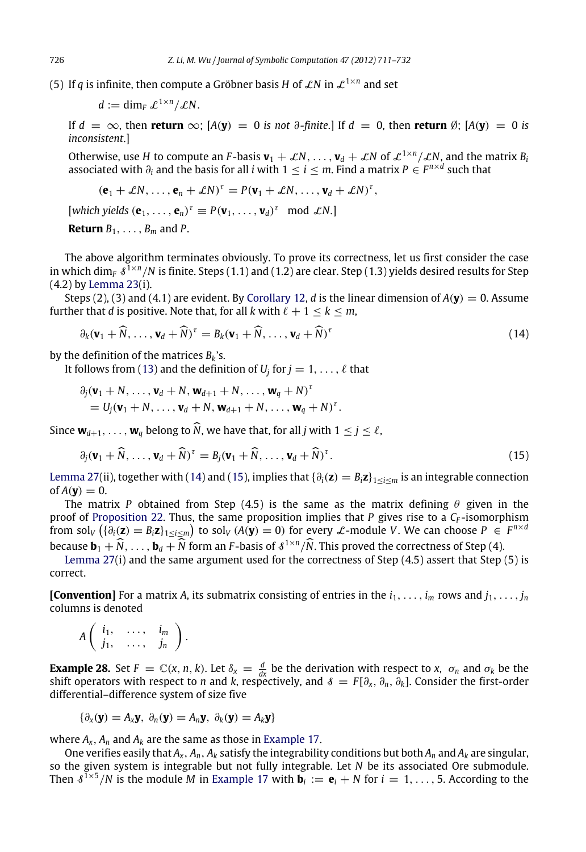(5) If  $q$  is infinite, then compute a Gröbner basis  $H$  of  $\mathcal{L} N$  in  $\mathcal{L}^{1\times n}$  and set

 $d := \dim_F \mathcal{L}^{1 \times n}/\mathcal{L}N$ .

If  $d = \infty$ , then **return**  $\infty$ ;  $[A(\mathbf{y}) = 0$  *is not*  $\partial$ *-finite*.] If  $d = 0$ , then **return**  $\emptyset$ ;  $[A(\mathbf{y}) = 0$  *is inconsistent*.]

Otherwise, use *H* to compute an *F*-basis  $\mathbf{v}_1 + \mathcal{L}N, \ldots, \mathbf{v}_d + \mathcal{L}N$  of  $\mathcal{L}^{1 \times n}/\mathcal{L}N$ , and the matrix  $B_i$ associated with  $\partial_i$  and the basis for all *i* with 1  $\leq$  *i*  $\leq$  *m*. Find a matrix  $P \in F^{n \times d}$  such that

$$
(\mathbf{e}_1+\mathcal{L}N,\ldots,\mathbf{e}_n+\mathcal{L}N)^{\tau}=P(\mathbf{v}_1+\mathcal{L}N,\ldots,\mathbf{v}_d+\mathcal{L}N)^{\tau},
$$

 $[which yields  $(\mathbf{e}_1, \ldots, \mathbf{e}_n)^{\tau} \equiv P(\mathbf{v}_1, \ldots, \mathbf{v}_d)^{\tau} \mod \mathcal{L}N$ .]$ 

**Return**  $B_1, \ldots, B_m$  and P.

The above algorithm terminates obviously. To prove its correctness, let us first consider the case in which dim<sub>F</sub>  $\AA^{1\times n}/N$  is finite. Steps (1.1) and (1.2) are clear. Step (1.3) yields desired results for Step (4.2) by [Lemma](#page-11-3) [23\(](#page-11-3)i).

Steps (2), (3) and (4.1) are evident. By [Corollary](#page-4-3) [12,](#page-4-3) *d* is the linear dimension of  $A(\mathbf{v}) = 0$ . Assume further that *d* is positive. Note that, for all *k* with  $\ell + 1 \leq k \leq m$ ,

<span id="page-15-0"></span>
$$
\partial_k (\mathbf{v}_1 + \widehat{N}, \dots, \mathbf{v}_d + \widehat{N})^{\tau} = B_k (\mathbf{v}_1 + \widehat{N}, \dots, \mathbf{v}_d + \widehat{N})^{\tau}
$$
(14)

by the definition of the matrices *Bk*'s.

It follows from [\(13\)](#page-14-1) and the definition of  $U_j$  for  $j = 1, \ldots, \ell$  that

<span id="page-15-1"></span>
$$
\partial_j(\mathbf{v}_1 + N, \dots, \mathbf{v}_d + N, \mathbf{w}_{d+1} + N, \dots, \mathbf{w}_q + N)^{\tau}
$$
  
=  $U_j(\mathbf{v}_1 + N, \dots, \mathbf{v}_d + N, \mathbf{w}_{d+1} + N, \dots, \mathbf{w}_q + N)^{\tau}$ .

Since  $\mathbf{w}_{d+1}, \ldots, \mathbf{w}_d$  belong to  $\widehat{N}$ , we have that, for all *j* with  $1 \leq j \leq \ell$ ,

$$
\partial_j(\mathbf{v}_1 + \widehat{N}, \dots, \mathbf{v}_d + \widehat{N})^{\tau} = B_j(\mathbf{v}_1 + \widehat{N}, \dots, \mathbf{v}_d + \widehat{N})^{\tau}.
$$
\n(15)

[Lemma](#page-13-1) [27\(](#page-13-1)ii), together with [\(14\)](#page-15-0) and [\(15\)](#page-15-1), implies that  $\{\partial_i(\mathbf{z}) = B_i\mathbf{z}\}_{1 \le i \le m}$  is an integrable connection of  $A(\mathbf{y}) = 0$ .

The matrix *P* obtained from Step (4.5) is the same as the matrix defining  $\theta$  given in the proof of [Proposition](#page-10-1) [22.](#page-10-1) Thus, the same proposition implies that *P* gives rise to a *C<sup>F</sup>* -isomorphism from sol<sub>V</sub>  $(\{\partial_i(z) = B_i z\}_{1 \le i \le m})$  to sol<sub>V</sub>  $(A(y) = 0)$  for every L-module *V*. We can choose  $P \in F^{n \times d}$ 

because  $\mathbf{b}_1 + \widehat{N}, \ldots, \mathbf{b}_d + \widehat{N}$  form an *F*-basis of  $\delta^{1 \times n}/\widehat{N}$ . This proved the correctness of Step (4). [Lemma](#page-13-1) [27\(](#page-13-1)i) and the same argument used for the correctness of Step (4.5) assert that Step (5) is correct.

**[Convention]** For a matrix *A*, its submatrix consisting of entries in the  $i_1, \ldots, i_m$  rows and  $j_1, \ldots, j_n$ columns is denoted

$$
A\left(\begin{array}{cccc}i_1,&\ldots,&i_m\\j_1,&\ldots,&j_n\end{array}\right).
$$

**Example 28.** Set  $F = \mathbb{C}(x, n, k)$ . Let  $\delta_x = \frac{d}{dx}$  be the derivation with respect to *x*,  $\sigma_n$  and  $\sigma_k$  be the shift operators with respect to *n* and *k*, respectively, and  $\delta = F[\partial_x, \partial_n, \partial_k]$ . Consider the first-order differential–difference system of size five

$$
\{\partial_x(\mathbf{y}) = A_x \mathbf{y}, \ \partial_n(\mathbf{y}) = A_n \mathbf{y}, \ \partial_k(\mathbf{y}) = A_k \mathbf{y}\}\
$$

where  $A_x$ ,  $A_n$  and  $A_k$  are the same as those in [Example](#page-7-2) [17.](#page-7-2)

One verifies easily that  $A_x$ ,  $A_n$ ,  $A_k$  satisfy the integrability conditions but both  $A_n$  and  $A_k$  are singular, so the given system is integrable but not fully integrable. Let *N* be its associated Ore submodule. Then  $\delta^{1\times5}/N$  is the module *M* in [Example](#page-7-2) [17](#page-7-2) with  $\mathbf{b}_i := \mathbf{e}_i + N$  for  $i = 1, \ldots, 5$ . According to the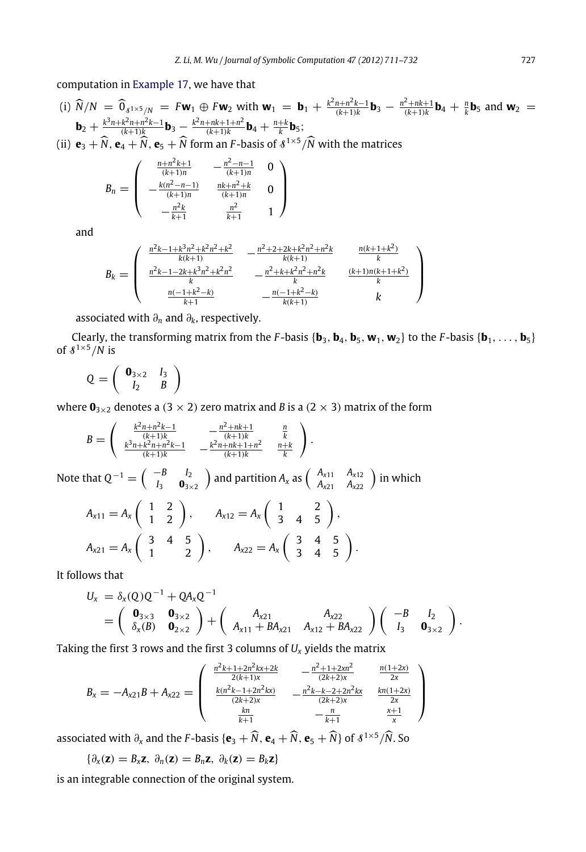computation in [Example](#page-7-2) [17,](#page-7-2) we have that

(i) 
$$
\widehat{N}/N = \widehat{0}_{s^{1}\times s/N} = F\mathbf{w}_1 \oplus F\mathbf{w}_2
$$
 with  $\mathbf{w}_1 = \mathbf{b}_1 + \frac{k^2n + n^2k - 1}{(k+1)k}\mathbf{b}_3 - \frac{n^2 + nk + 1}{(k+1)k}\mathbf{b}_4 + \frac{n}{k}\mathbf{b}_5$  and  $\mathbf{w}_2 = \mathbf{b}_2 + \frac{k^3n + k^2n + n^2k - 1}{(k+1)k}\mathbf{b}_3 - \frac{k^2n + nk + 1 + n^2}{(k+1)k}\mathbf{b}_4 + \frac{n+k}{k}\mathbf{b}_5$ ;  
\n(ii)  $\mathbf{e}_3 + \widehat{N}, \mathbf{e}_4 + \widehat{N}, \mathbf{e}_5 + \widehat{N}$  form an *F*-basis of  $s^{1\times 5}/\widehat{N}$  with the matrices

$$
B_n = \begin{pmatrix} \frac{n+n^2k+1}{(k+1)n} & -\frac{n^2-n-1}{(k+1)n} & 0\\ -\frac{k(n^2-n-1)}{(k+1)n} & \frac{nk+n^2+k}{(k+1)n} & 0\\ -\frac{n^2k}{k+1} & \frac{n^2}{k+1} & 1 \end{pmatrix}
$$

and

$$
B_k = \begin{pmatrix} \frac{n^2k - 1 + k^3n^2 + k^2n^2 + k^2}{k(k+1)} & -\frac{n^2 + 2 + 2k + k^2n^2 + n^2k}{k(k+1)} & \frac{n(k+1+k^2)}{k} \\ \frac{n^2k - 1 - 2k + k^3n^2 + k^2n^2}{k} & -\frac{n^2 + k + k^2n^2 + n^2k}{k} & \frac{(k+1)n(k+1+k^2)}{k} \\ \frac{n(-1+k^2-k)}{k+1} & -\frac{n(-1+k^2-k)}{k(k+1)} & k \end{pmatrix}
$$

associated with ∂*<sup>n</sup>* and ∂*k*, respectively.

Clearly, the transforming matrix from the *F*-basis { $\mathbf{b}_3$ ,  $\mathbf{b}_4$ ,  $\mathbf{b}_5$ ,  $\mathbf{w}_1$ ,  $\mathbf{w}_2$ } to the *F*-basis { $\mathbf{b}_1, \ldots, \mathbf{b}_5$ } of  $\frac{8^{1\times5}}{N}$  is

$$
Q = \left(\begin{array}{cc} \mathbf{0}_{3\times 2} & I_3 \\ I_2 & B \end{array}\right)
$$

where  $\mathbf{0}_{3\times2}$  denotes a (3  $\times$  2) zero matrix and *B* is a (2  $\times$  3) matrix of the form

$$
B = \begin{pmatrix} \frac{k^2n + n^2k - 1}{(k+1)k} & -\frac{n^2 + nk + 1}{(k+1)k} & \frac{n}{k} \\ \frac{k^3n + k^2n + n^2k - 1}{(k+1)k} & -\frac{k^2n + nk + 1 + n^2}{(k+1)k} & \frac{n+k}{k} \end{pmatrix}.
$$

Note that  $Q^{-1} = \begin{pmatrix} -B & I_2 \\ I_1 & 0 \end{pmatrix}$  $I_3$  **0**<sub>3×2</sub> ) and partition  $A_x$  as  $\begin{pmatrix} A_{x11} & A_{x12} \ A_{x21} & A_{x22} \end{pmatrix}$  in which

$$
A_{x11} = A_x \begin{pmatrix} 1 & 2 \\ 1 & 2 \end{pmatrix}, \qquad A_{x12} = A_x \begin{pmatrix} 1 & 2 \\ 3 & 4 & 5 \end{pmatrix},
$$
  

$$
A_{x21} = A_x \begin{pmatrix} 3 & 4 & 5 \\ 1 & 2 \end{pmatrix}, \qquad A_{x22} = A_x \begin{pmatrix} 3 & 4 & 5 \\ 3 & 4 & 5 \end{pmatrix}.
$$

It follows that

$$
U_x = \delta_x(Q)Q^{-1} + QA_xQ^{-1}
$$
  
=  $\begin{pmatrix} \mathbf{0}_{3\times 3} & \mathbf{0}_{3\times 2} \\ \delta_x(B) & \mathbf{0}_{2\times 2} \end{pmatrix} + \begin{pmatrix} A_{x21} & A_{x22} \\ A_{x11} + BA_{x21} & A_{x12} + BA_{x22} \end{pmatrix} \begin{pmatrix} -B & I_2 \\ I_3 & \mathbf{0}_{3\times 2} \end{pmatrix}.$ 

Taking the first 3 rows and the first 3 columns of *U<sup>x</sup>* yields the matrix

$$
B_x = -A_{x21}B + A_{x22} = \begin{pmatrix} \frac{n^2k + 1 + 2n^2kx + 2k}{2(k+1)x} & -\frac{n^2 + 1 + 2xn^2}{(2k+2)x} & \frac{n(1+2x)}{2x} \\ \frac{k(n^2k - 1 + 2n^2kx)}{(2k+2)x} & -\frac{n^2k - k - 2 + 2n^2kx}{(2k+2)x} & \frac{kn(1+2x)}{2x} \\ \frac{kn}{k+1} & -\frac{n}{k+1} & \frac{k+1}{x} \end{pmatrix}
$$

associated with  $\partial_x$  and the *F*-basis { $\mathbf{e}_3 + \widehat{N}$ ,  $\mathbf{e}_4 + \widehat{N}$ ,  $\mathbf{e}_5 + \widehat{N}$ } of  $\delta^{1 \times 5} / \widehat{N}$ . So

$$
\{\partial_x(\mathbf{z}) = B_x \mathbf{z}, \ \partial_n(\mathbf{z}) = B_n \mathbf{z}, \ \partial_k(\mathbf{z}) = B_k \mathbf{z}\}\
$$

is an integrable connection of the original system.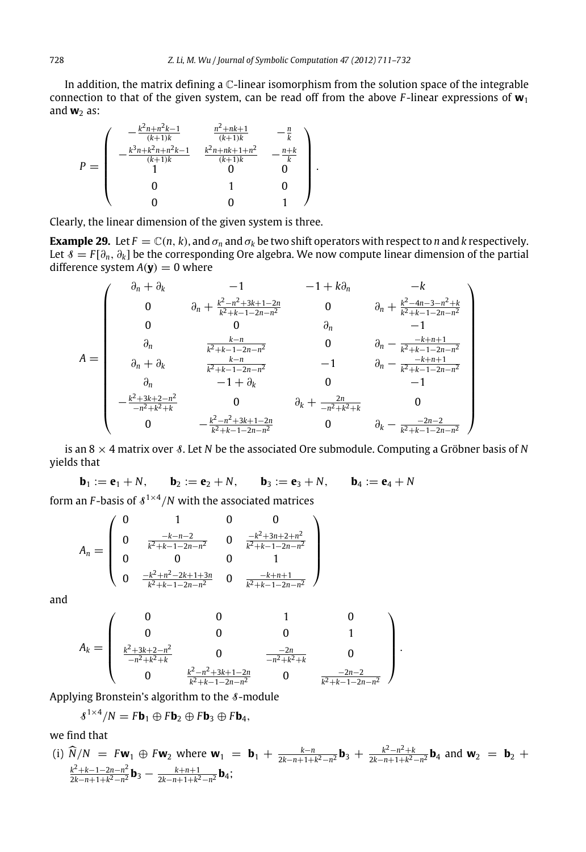In addition, the matrix defining a C-linear isomorphism from the solution space of the integrable connection to that of the given system, can be read off from the above *F* -linear expressions of **w**<sup>1</sup> and  $w_2$  as:

$$
P = \left(\begin{array}{cccc} -\frac{k^2n + n^2k - 1}{(k+1)k} & \frac{n^2 + nk + 1}{(k+1)k} & -\frac{n}{k} \\ -\frac{k^3n + k^2n + n^2k - 1}{(k+1)k} & \frac{k^2n + nk + 1 + n^2}{(k+1)k} & -\frac{n+k}{k} \\ 1 & 0 & 0 \\ 0 & 1 & 0 \\ 0 & 0 & 1 \end{array}\right).
$$

Clearly, the linear dimension of the given system is three.

**Example 29.** Let  $F = \mathbb{C}(n, k)$ , and  $\sigma_n$  and  $\sigma_k$  be two shift operators with respect to *n* and *k* respectively. Let S = *F* [∂*n*, ∂*k*] be the corresponding Ore algebra. We now compute linear dimension of the partial difference system  $A(y) = 0$  where

$$
A = \begin{pmatrix} \n\frac{\partial_n + \partial_k}{\partial n} & -1 & -1 + k\partial_n & -k \\
0 & \frac{k^2 - n^2 + 3k + 1 - 2n}{k^2 + k - 1 - 2n - n^2} & 0 & \frac{k^2 - 4n - 3 - n^2 + k}{k^2 + k - 1 - 2n - n^2} \\
\frac{\partial_n}{\partial n} & \frac{k - n}{k^2 + k - 1 - 2n - n^2} & 0 & \frac{k - n + 1}{n} \\
\frac{\partial_n + \partial_k}{\partial n} & \frac{k - n}{k^2 + k - 1 - 2n - n^2} & -1 & \frac{k - k + n + 1}{n^2 + k - 1 - 2n - n^2} \\
\frac{\partial_n}{\partial n} & -1 + \partial_k & 0 & -1 \\
-\frac{k^2 + 3k + 2 - n^2}{n^2 + k^2 + k} & 0 & \frac{2n}{n^2 + k - 1 - 2n - n^2} & 0 & \frac{k - n - 2}{n^2 + k^2 + k - 1 - 2n - n^2}\n\end{pmatrix}
$$

is an 8 × 4 matrix over S. Let *N* be the associated Ore submodule. Computing a Gröbner basis of *N* yields that

**b**<sub>1</sub> := **e**<sub>1</sub> + *N*, **b**<sub>2</sub> := **e**<sub>2</sub> + *N*, **b**<sub>3</sub> := **e**<sub>3</sub> + *N*, **b**<sub>4</sub> := **e**<sub>4</sub> + *N* 

form an *F*-basis of  $\sqrt{s^{1\times 4}}/N$  with the associated matrices

$$
A_n = \begin{pmatrix} 0 & 1 & 0 & 0 \\ 0 & \frac{-k-n-2}{k^2+k-1-2n-n^2} & 0 & \frac{-k^2+3n+2+n^2}{k^2+k-1-2n-n^2} \\ 0 & 0 & 0 & 1 \\ 0 & \frac{-k^2+n^2-2k+1+3n}{k^2+k-1-2n-n^2} & 0 & \frac{-k+n+1}{k^2+k-1-2n-n^2} \end{pmatrix}
$$

and

$$
A_k = \left(\begin{array}{cccc} 0 & 0 & 1 & 0 \\ 0 & 0 & 0 & 1 \\ \frac{k^2 + 3k + 2 - n^2}{-n^2 + k^2 + k} & 0 & \frac{-2n}{-n^2 + k^2 + k} & 0 \\ 0 & \frac{k^2 - n^2 + 3k + 1 - 2n}{k^2 + k - 1 - 2n - n^2} & 0 & \frac{-2n - 2}{k^2 + k - 1 - 2n - n^2} \end{array}\right)
$$

Applying Bronstein's algorithm to the  $\delta$ -module

$$
\textcolor{blue}{\mathcal{S}^{1\times4}/N} = F\textbf{b}_1 \oplus F\textbf{b}_2 \oplus F\textbf{b}_3 \oplus F\textbf{b}_4,
$$

we find that

(i) 
$$
\widehat{N}/N = Fw_1 \oplus Fw_2
$$
 where  $w_1 = b_1 + \frac{k-n}{2k-n+1+k^2-n^2}b_3 + \frac{k^2-n^2+k}{2k-n+1+k^2-n^2}b_4$  and  $w_2 = b_2 + \frac{k^2+k-1-2n-n^2}{2k-n+1+k^2-n^2}b_3 - \frac{k+n+1}{2k-n+1+k^2-n^2}b_4$ ;

.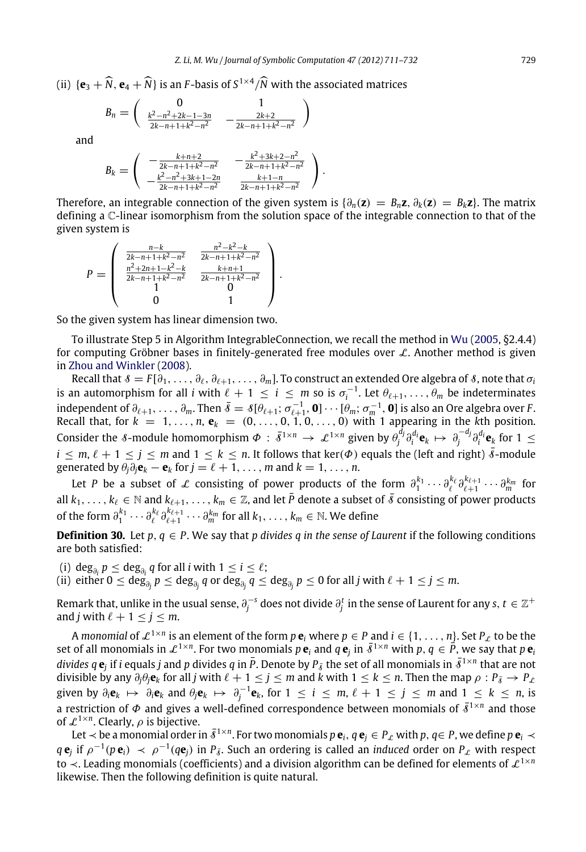(ii)  $\{\mathbf{e}_3 + \widehat{N}, \mathbf{e}_4 + \widehat{N}\}\$ is an *F*-basis of  $S^{1 \times 4}/\widehat{N}$  with the associated matrices

$$
B_n = \begin{pmatrix} 0 & 1 \\ \frac{k^2 - n^2 + 2k - 1 - 3n}{2k - n + 1 + k^2 - n^2} & -\frac{2k + 2}{2k - n + 1 + k^2 - n^2} \end{pmatrix}
$$

and

$$
B_k = \left( \begin{array}{cc} -\frac{k+n+2}{2k-n+1+k^2-n^2} & -\frac{k^2+3k+2-n^2}{2k-n+1+k^2-n^2} \\ -\frac{k^2-n^2+3k+1-2n}{2k-n+1+k^2-n^2} & \frac{k+1-n}{2k-n+1+k^2-n^2} \end{array} \right).
$$

Therefore, an integrable connection of the given system is  $\{\partial_n(z) = B_n z, \partial_k(z) = B_k z\}$ . The matrix defining a C-linear isomorphism from the solution space of the integrable connection to that of the given system is

$$
P = \left(\begin{array}{ccc} \frac{n-k}{2k-n+1+k^2-n^2} & \frac{n^2-k^2-k}{2k-n+1+k^2-n^2} \\ \frac{n^2+2n+1-k^2-k}{2k-n+1+k^2-n^2} & \frac{k+n+1}{2k-n+1+k^2-n^2} \\ 1 & 0 & 1 \end{array}\right).
$$

So the given system has linear dimension two.

To illustrate Step 5 in Algorithm IntegrableConnection, we recall the method in [Wu](#page-21-3) [\(2005,](#page-21-3) §2.4.4) for computing Gröbner bases in finitely-generated free modules over  $L$ . Another method is given in [Zhou and Winkler](#page-21-7) [\(2008\)](#page-21-7).

Recall that  $\delta = F[\partial_1,\ldots,\partial_\ell,\partial_{\ell+1},\ldots,\partial_m]$ . To construct an extended Ore algebra of  $\delta$ , note that  $\sigma_i$ is an automorphism for all *i* with  $\ell + 1 \leq i \leq m$  so is  $\sigma_i^{-1}$ . Let  $\theta_{\ell+1}, \ldots, \theta_m$  be indeterminates independent of  $\partial_{\ell+1}, \ldots, \partial_m$ . Then  $\bar{\delta} = \delta[\theta_{\ell+1}; \sigma_{\ell+1}^{-1}, \mathbf{0}] \cdots [\theta_m; \sigma_m^{-1}, \mathbf{0}]$  is also an Ore algebra over *F*. Recall that, for  $k = 1, \ldots, n$ ,  $e_k = (0, \ldots, 0, 1, 0, \ldots, 0)$  with 1 appearing in the *k*th position. Consider the 8-module homomorphism  $\Phi : \bar{\delta}^{1 \times n} \to \mathcal{L}^{1 \times n}$  given by  $\theta_j^{d_j} \partial_i^{d_i} \mathbf{e}_k \mapsto \partial_j^{-d_j} \partial_i^{d_i} \mathbf{e}_k$  for  $1 \leq$  $i \leq m, \ell + 1 \leq j \leq m$  and  $1 \leq k \leq n$ . It follows that ker( $\Phi$ ) equals the (left and right)  $\bar{\delta}$ -module generated by  $\theta_j \partial_j \mathbf{e}_k - \mathbf{e}_k$  for  $j = \ell + 1, \ldots, m$  and  $k = 1, \ldots, n$ .

Let *P* be a subset of L consisting of power products of the form  $\partial_1^{k_1}\cdots\partial_\ell^{k_\ell}\partial_{\ell+1}^{k_{\ell+1}}\cdots\partial_m^{k_m}$  for all  $k_1, \ldots, k_\ell \in \mathbb{N}$  and  $k_{\ell+1}, \ldots, k_m \in \mathbb{Z}$ , and let  $\bar{P}$  denote a subset of  $\bar{s}$  consisting of power products of the form  $\partial_1^{k_1}\cdots\partial_\ell^{k_\ell}\partial_{\ell+1}^{k_{\ell+1}}\cdots\partial_m^{k_m}$  for all  $k_1,\ldots,k_m\in\mathbb{N}$ . We define

**Definition 30.** Let  $p, q \in P$ . We say that *p* divides *q* in the sense of Laurent if the following conditions are both satisfied:

(i)  $\deg_{\partial_i} p \leq \deg_{\partial_i} q$  for all *i* with  $1 \leq i \leq \ell$ ;

(ii) either  $0\le \deg_{\partial_j} p\le \deg_{\partial_j} q$  or  $\deg_{\partial_j} q\le \deg_{\partial_j} p\le 0$  for all  $j$  with  $\ell+1\le j\le m.$ 

Remark that, unlike in the usual sense,  $\partial_j^{-s}$  does not divide  $\partial_j^t$  in the sense of Laurent for any  $s,t\in\mathbb{Z}^+$ and *j* with  $\ell + 1 \le j \le m$ .

A *monomial* of  $\mathcal{L}^{1\times n}$  is an element of the form  $p\mathbf{e}_i$  where  $p\in P$  and  $i\in\{1,\ldots,n\}$ . Set  $P_\mathcal{L}$  to be the set of all monomials in  $\mathcal{L}^{1\times n}$ . For two monomials  $p\,\mathbf{e}_i$  and  $q\,\mathbf{e}_j$  in  $\bar{\delta}^{1\times n}$  with  $p,q\in\bar{P}$ , we say that  $p\,\mathbf{e}_i$  $divides~q$   ${\bf e}_j$  if  $i$  equals  $j$  and  $p$  divides  $q$  in  $\bar{P}.$  Denote by  $P_{\bar{s}}$  the set of all monomials in  $\bar{s}^{1\times n}$  that are not divisible by any  $\partial_j \theta_j \mathbf{e}_k$  for all *j* with  $\ell+1 \leq j \leq m$  and  $k$  with  $1 \leq k \leq n$ . Then the map  $\rho : P_{\bar{s}} \to P_{\ell}$ given by  $\partial_i \mathbf{e}_k \mapsto \partial_i \mathbf{e}_k$  and  $\partial_j \mathbf{e}_k \mapsto \partial_j^{-1} \mathbf{e}_k$ , for  $1 \leq i \leq m, \ell + 1 \leq j \leq m$  and  $1 \leq k \leq n$ , is a restriction of  $\Phi$  and gives a well-defined correspondence between monomials of  $\bar{\delta}^{1 \times n}$  and those of  $\mathcal{L}^{1 \times n}$ . Clearly,  $\rho$  is bijective.

Let  $\prec$  be a monomial order in  $\bar{\delta}^{1\times n}$ . For two monomials  $p$   ${\bf e}_i$  ,  $q$   ${\bf e}_j\in P$  with  $p,q$   $\in$   $P$  , we define  $p$   ${\bf e}_i\prec$  $q e_j$  if  $\rho^{-1}(p e_i) \prec \rho^{-1}(q e_j)$  in  $P_{\bar{\delta}}$ . Such an ordering is called an *induced* order on  $P_{\ell}$  with respect to  $\prec$ . Leading monomials (coefficients) and a division algorithm can be defined for elements of  $\mathcal{L}^{1\times n}$ likewise. Then the following definition is quite natural.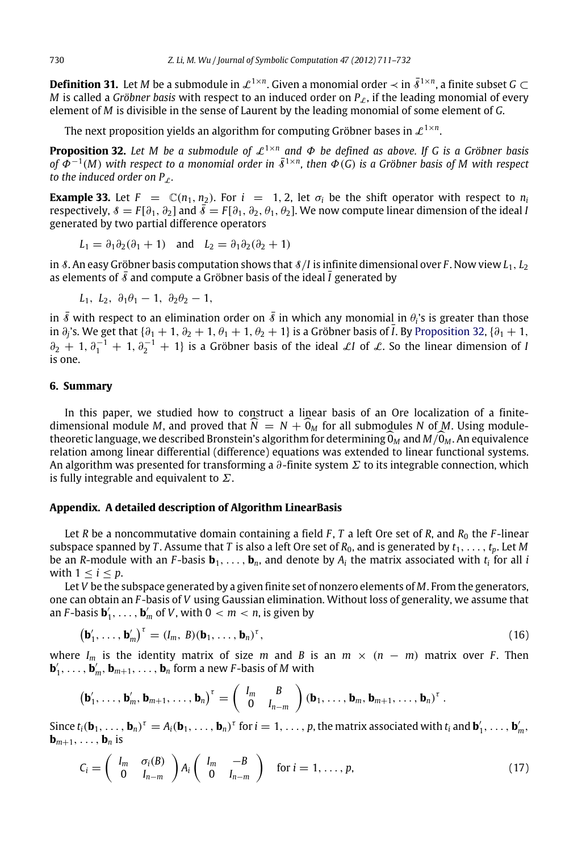**Definition 31.** Let M be a submodule in  $\mathcal{L}^{1\times n}$ . Given a monomial order  $\prec$  in  $\bar{\delta}^{1\times n}$ , a finite subset G  $\subset$ *M* is called a *Gröbner basis* with respect to an induced order on  $P_{\ell}$ , if the leading monomial of every element of *M* is divisible in the sense of Laurent by the leading monomial of some element of *G*.

<span id="page-19-2"></span>The next proposition yields an algorithm for computing Gröbner bases in  $\mathcal{L}^{1\times n}.$ 

**Proposition 32.** Let M be a submodule of  $\mathcal{L}^{1 \times n}$  and  $\Phi$  be defined as above. If G is a Gröbner basis *of*  $\tilde{\Phi}^{-1}(M)$  *with respect to a monomial order in*  $\bar{\delta}^{1 \times n}$ *, then*  $\Phi(G)$  *is a Gröbner basis of M with respect to the induced order on P<sub>c</sub>.* 

<span id="page-19-0"></span>**Example 33.** Let  $F = \mathbb{C}(n_1, n_2)$ . For  $i = 1, 2$ , let  $\sigma_i$  be the shift operator with respect to  $n_i$ respectively,  $\delta = F[\partial_1, \partial_2]$  and  $\bar{\delta} = F[\partial_1, \partial_2, \theta_1, \theta_2]$ . We now compute linear dimension of the ideal *I* generated by two partial difference operators

$$
L_1 = \partial_1 \partial_2 (\partial_1 + 1) \quad \text{and} \quad L_2 = \partial_1 \partial_2 (\partial_2 + 1)
$$

in 8. An easy Gröbner basis computation shows that  $8/I$  is infinite dimensional over *F*. Now view  $L_1, L_2$ as elements of  $\bar{\delta}$  and compute a Gröbner basis of the ideal  $\bar{I}$  generated by

$$
L_1,\ L_2,\ \partial_1\theta_1-1,\ \partial_2\theta_2-1,
$$

in  $\bar{s}$  with respect to an elimination order on  $\bar{s}$  in which any monomia<u>l</u> in  $\theta_i$ 's is greater than those in ∂<sub>j</sub>'s. We get that { $\partial_1 + 1$ ,  $\partial_2 + 1$ ,  $\theta_1 + 1$ ,  $\theta_2 + 1$ } is a Gröbner basis of  $\bar{l}$ . By [Proposition](#page-19-2) [32,](#page-19-2) { $\partial_1 + 1$ ,  $\partial_2 + 1, \partial_1^{-1} + 1, \partial_2^{-1} + 1$  is a Gröbner basis of the ideal LI of L. So the linear dimension of I is one.

### <span id="page-19-1"></span>**6. Summary**

In this paper, we studied how to construct a linear basis of an Ore localization of a finitedimensional module *M*, and proved that  $\hat{N} = N + 0_M$  for all submodules *N* of *M*. Using moduletheoretic language, we described Bronstein's algorithm for determining  $0_M$  and  $M/O_M$ . An equivalence relation among linear differential (difference) equations was extended to linear functional systems. An algorithm was presented for transforming a  $\partial$ -finite system  $\Sigma$  to its integrable connection, which is fully integrable and equivalent to  $\Sigma$ .

### **Appendix. A detailed description of Algorithm LinearBasis**

Let *R* be a noncommutative domain containing a field  $F$ ,  $T$  a left Ore set of  $R$ , and  $R_0$  the  $F$ -linear subspace spanned by *T*. Assume that *T* is also a left Ore set of  $R_0$ , and is generated by  $t_1, \ldots, t_p$ . Let *M* be an *R*-module with an *F*-basis  $\mathbf{b}_1,\ldots,\mathbf{b}_n$ , and denote by  $A_i$  the matrix associated with  $t_i$  for all *i* with  $1 \leq i \leq p$ .

Let *V* be the subspace generated by a given finite set of nonzero elements of *M*. From the generators, one can obtain an *F* -basis of *V* using Gaussian elimination. Without loss of generality, we assume that an *F*-basis  $\mathbf{b}'_1, \ldots, \mathbf{b}'_m$  of *V*, with  $0 < m < n$ , is given by

$$
\left(\mathbf{b}'_1,\ldots,\mathbf{b}'_m\right)^{\tau} = \left(I_m,\,B\right)\left(\mathbf{b}_1,\ldots,\mathbf{b}_n\right)^{\tau},\tag{16}
$$

<span id="page-19-4"></span>.

where  $I_m$  is the identity matrix of size *m* and *B* is an  $m \times (n - m)$  matrix over *F*. Then  $\mathbf{b}'_1, \ldots, \mathbf{b}'_m, \mathbf{b}_{m+1}, \ldots, \mathbf{b}_n$  form a new *F*-basis of *M* with

$$
\left(\mathbf{b}'_1,\ldots,\mathbf{b}'_m,\mathbf{b}_{m+1},\ldots,\mathbf{b}_n\right)^{\tau}=\left(\begin{array}{cc}I_m&B\\0&I_{n-m}\end{array}\right)(\mathbf{b}_1,\ldots,\mathbf{b}_m,\mathbf{b}_{m+1},\ldots,\mathbf{b}_n)^{\tau}
$$

Since  $t_i(\mathbf{b}_1,\ldots,\mathbf{b}_n)^\tau = A_i(\mathbf{b}_1,\ldots,\mathbf{b}_n)^\tau$  for  $i=1,\ldots,p$ , the matrix associated with  $t_i$  and  $\mathbf{b}'_1,\ldots,\mathbf{b}'_m$ ,  $\mathbf{b}_{m+1}, \ldots, \mathbf{b}_n$  is

<span id="page-19-3"></span>
$$
C_i = \begin{pmatrix} I_m & \sigma_i(B) \\ 0 & I_{n-m} \end{pmatrix} A_i \begin{pmatrix} I_m & -B \\ 0 & I_{n-m} \end{pmatrix} \text{ for } i = 1, \ldots, p,
$$
 (17)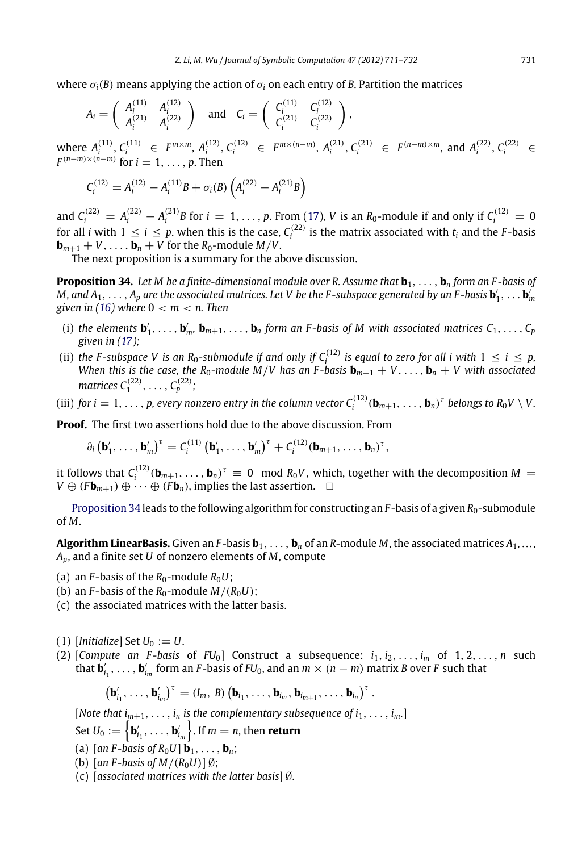where  $\sigma_i(B)$  means applying the action of  $\sigma_i$  on each entry of *B*. Partition the matrices

$$
A_i = \begin{pmatrix} A_i^{(11)} & A_i^{(12)} \\ A_i^{(21)} & A_i^{(22)} \end{pmatrix} \text{ and } C_i = \begin{pmatrix} C_i^{(11)} & C_i^{(12)} \\ C_i^{(21)} & C_i^{(22)} \end{pmatrix},
$$
  
(11) (11)

where  $A_i^{(11)}, C_i^{(11)} \in F^{m \times m}, A_i^{(12)}, C_i^{(12)} \in F^{m \times (n-m)}, A_i^{(21)}, C_i^{(21)} \in F^{(n-m) \times m}$ , and  $A_i^{(22)}, C_i^{(22)} \in F^{(n-m)}$  $F^{(n-m)\times(n-m)}$  for  $i=1,\ldots,p$ . Then

<span id="page-20-0"></span>
$$
C_i^{(12)} = A_i^{(12)} - A_i^{(11)}B + \sigma_i(B)\left(A_i^{(22)} - A_i^{(21)}B\right)
$$

and  $C_i^{(22)} = A_i^{(22)} - A_i^{(21)}B$  for  $i = 1, ..., p$ . From [\(17\)](#page-19-3), *V* is an *R*<sub>0</sub>-module if and only if  $C_i^{(12)} = 0$ for all *i* with  $1 \le i \le p$ , when this is the case,  $C_i^{(22)}$  is the matrix associated with  $t_i$  and the *F*-basis or all *i* with  $1 \le i \le p$ .  **for the** *R***<sub>0</sub>-module** *M***/***V***.** 

The next proposition is a summary for the above discussion.

**Proposition 34.** Let M be a finite-dimensional module over R. Assume that  $\mathbf{b}_1, \ldots, \mathbf{b}_n$  form an F-basis of  $M$ , and  $A_1, \ldots, A_p$  are the associated matrices. Let  $V$  be the F-subspace generated by an F-basis  $\mathbf{b}'_1, \ldots \mathbf{b}'_m$ *given in [\(16\)](#page-19-4) where* 0 < *m* < *n. Then*

- (i) the elements  $\mathbf{b}'_1,\ldots,\mathbf{b}'_m$ ,  $\mathbf{b}_{m+1},\ldots,\mathbf{b}_n$  form an F-basis of M with associated matrices  $C_1,\ldots,C_p$ *given in [\(17\)](#page-19-3);*
- (ii) the F-subspace V is an R<sub>0</sub>-submodule if and only if  $C_i^{(12)}$  is equal to zero for all i with  $1 \leq i \leq p$ , *When this is the case, the R*<sub>0</sub>-module *M*/*V* has an *F*-basis  $\mathbf{b}_{m+1} + V, \ldots, \mathbf{b}_n + V$  with associated matrices  $C_1^{(22)},\,\ldots,\,C_p^{(22)};$
- (iii) *for i* = 1, . . . , *p, every nonzero entry in the column vector*  $C_i^{(12)}(\mathbf{b}_{m+1}, \ldots, \mathbf{b}_n)^\tau$  belongs to  $R_0 V \setminus V$ .

**Proof.** The first two assertions hold due to the above discussion. From

$$
\partial_i \left( \mathbf{b}'_1, \ldots, \mathbf{b}'_m \right)^{\tau} = C_i^{(11)} \left( \mathbf{b}'_1, \ldots, \mathbf{b}'_m \right)^{\tau} + C_i^{(12)} (\mathbf{b}_{m+1}, \ldots, \mathbf{b}_n)^{\tau},
$$

it follows that  $C_i^{(12)}(\mathbf{b}_{m+1},\ldots,\mathbf{b}_n)^{\tau} \equiv 0 \mod R_0V$ , which, together with the decomposition  $M =$ *V* ⊕ ( $F$ **b**<sub>*m*+1</sub>) ⊕ · · · ⊕ ( $F$ **b**<sub>*n*</sub>), implies the last assertion.  $\Box$ 

[Proposition](#page-20-0) [34](#page-20-0) leads to the following algorithm for constructing an  $F$ -basis of a given  $R_0$ -submodule of *M*.

**Algorithm LinearBasis.** Given an *F*-basis  $\mathbf{b}_1, \ldots, \mathbf{b}_n$  of an *R*-module *M*, the associated matrices  $A_1, \ldots,$ *Ap*, and a finite set *U* of nonzero elements of *M*, compute

- (a) an  $F$ -basis of the  $R_0$ -module  $R_0U$ ;
- (b) an *F*-basis of the  $R_0$ -module  $M/(R_0U)$ ;
- (c) the associated matrices with the latter basis.
- $(1)$  [*Initialize*] Set  $U_0 := U$ .
- (2) [*Compute an F-basis* of  $FU_0$ ] Construct a subsequence:  $i_1, i_2, \ldots, i_m$  of  $1, 2, \ldots, n$  such that  $\dot{\bm{b}}'_{i_1}, \ldots, \bm{b}'_{i_m}$  form an *F*-basis of *FU*<sub>0</sub>, and an  $m \times (n-m)$  matrix *B* over *F* such that

$$
\left(\mathbf{b}'_{i_1},\ldots,\mathbf{b}'_{i_m}\right)^{\tau} = (I_m,\,B)\left(\mathbf{b}_{i_1},\ldots,\mathbf{b}_{i_m},\mathbf{b}_{i_{m+1}},\ldots,\mathbf{b}_{i_n}\right)^{\tau}.
$$

[Note that  $i_{m+1}, \ldots, i_n$  is the complementary subsequence of  $i_1, \ldots, i_m$ .]

Set  $U_0 := \left\{\mathbf{b}'_{i_1}, \ldots, \mathbf{b}'_{i_m}\right\}$ . If  $m = n$ , then **return** 

- (a)  $[an F-basis of R<sub>0</sub>U]$  **b**<sub>1</sub>, . . . , **b**<sub>*n*</sub>;
- (b)  $[an F-basis of M/(R_0U)] \emptyset;$
- (c) [*associated matrices with the latter basis*] ∅.